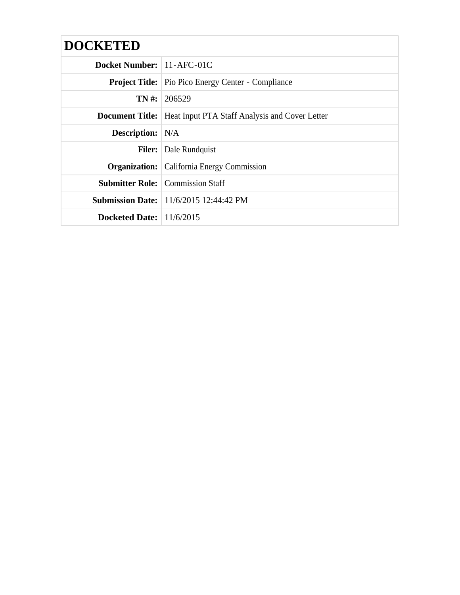| <b>DOCKETED</b>                  |                                                                         |  |  |
|----------------------------------|-------------------------------------------------------------------------|--|--|
| <b>Docket Number:</b> 11-AFC-01C |                                                                         |  |  |
|                                  | <b>Project Title:</b> Pio Pico Energy Center - Compliance               |  |  |
|                                  | $TN \#: 206529$                                                         |  |  |
|                                  | <b>Document Title:</b>   Heat Input PTA Staff Analysis and Cover Letter |  |  |
| <b>Description:</b> N/A          |                                                                         |  |  |
| <b>Filer:</b>                    | Dale Rundquist                                                          |  |  |
|                                  | <b>Organization:</b> California Energy Commission                       |  |  |
|                                  | <b>Submitter Role:</b> Commission Staff                                 |  |  |
|                                  | <b>Submission Date:</b> 11/6/2015 12:44:42 PM                           |  |  |
| Docketed Date: $11/6/2015$       |                                                                         |  |  |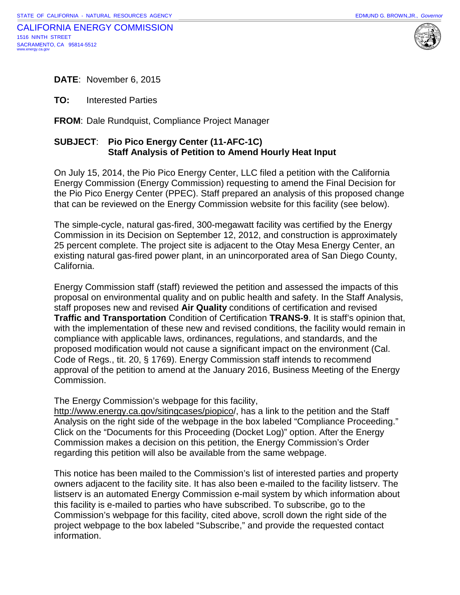



**DATE**: November 6, 2015

**TO:** Interested Parties

**FROM**: Dale Rundquist, Compliance Project Manager

### **SUBJECT**: **Pio Pico Energy Center (11-AFC-1C) Staff Analysis of Petition to Amend Hourly Heat Input**

On July 15, 2014, the Pio Pico Energy Center, LLC filed a petition with the California Energy Commission (Energy Commission) requesting to amend the Final Decision for the Pio Pico Energy Center (PPEC). Staff prepared an analysis of this proposed change that can be reviewed on the Energy Commission website for this facility (see below).

The simple-cycle, natural gas-fired, 300-megawatt facility was certified by the Energy Commission in its Decision on September 12, 2012, and construction is approximately 25 percent complete. The project site is adjacent to the Otay Mesa Energy Center, an existing natural gas-fired power plant, in an unincorporated area of San Diego County, California.

Energy Commission staff (staff) reviewed the petition and assessed the impacts of this proposal on environmental quality and on public health and safety. In the Staff Analysis, staff proposes new and revised **Air Quality** conditions of certification and revised **Traffic and Transportation** Condition of Certification **TRANS-9**. It is staff's opinion that, with the implementation of these new and revised conditions, the facility would remain in compliance with applicable laws, ordinances, regulations, and standards, and the proposed modification would not cause a significant impact on the environment (Cal. Code of Regs., tit. 20, § 1769). Energy Commission staff intends to recommend approval of the petition to amend at the January 2016, Business Meeting of the Energy Commission.

The Energy Commission's webpage for this facility,

[http://www.energy.ca.gov/sitingcases/piopico/](http://www.energy.ca.gov/sitingcases/piopico), has a link to the petition and the Staff Analysis on the right side of the webpage in the box labeled "Compliance Proceeding." Click on the "Documents for this Proceeding (Docket Log)" option. After the Energy Commission makes a decision on this petition, the Energy Commission's Order regarding this petition will also be available from the same webpage.

This notice has been mailed to the Commission's list of interested parties and property owners adjacent to the facility site. It has also been e-mailed to the facility listserv. The listserv is an automated Energy Commission e-mail system by which information about this facility is e-mailed to parties who have subscribed. To subscribe, go to the Commission's webpage for this facility, cited above, scroll down the right side of the project webpage to the box labeled "Subscribe," and provide the requested contact information.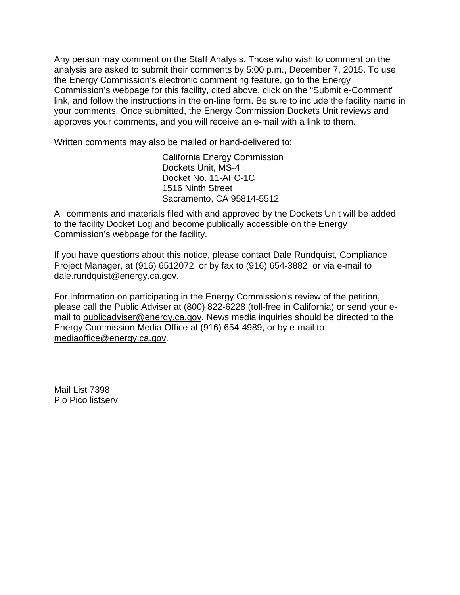Any person may comment on the Staff Analysis. Those who wish to comment on the analysis are asked to submit their comments by 5:00 p.m., December 7, 2015. To use the Energy Commission's electronic commenting feature, go to the Energy Commission's webpage for this facility, cited above, click on the "Submit e-Comment" link, and follow the instructions in the on-line form. Be sure to include the facility name in your comments. Once submitted, the Energy Commission Dockets Unit reviews and approves your comments, and you will receive an e‐mail with a link to them.

Written comments may also be mailed or hand-delivered to:

California Energy Commission Dockets Unit, MS-4 Docket No. 11-AFC-1C 1516 Ninth Street Sacramento, CA 95814-5512

All comments and materials filed with and approved by the Dockets Unit will be added to the facility Docket Log and become publically accessible on the Energy Commission's webpage for the facility.

If you have questions about this notice, please contact Dale Rundquist, Compliance Project Manager, at (916) 6512072, or by fax to (916) 654-3882, or via e-mail to [dale.rundquist@energy.ca.gov.](mailto:dale.rundquist@energy.ca.gov)

For information on participating in the Energy Commission's review of the petition, please call the Public Adviser at (800) 822-6228 (toll-free in California) or send your email to [publicadviser@energy.ca.gov.](mailto:publicadviser@energy.ca.gov) News media inquiries should be directed to the Energy Commission Media Office at (916) 654-4989, or by e-mail to [mediaoffice@energy.ca.gov.](mailto:mediaoffice@energy.ca.gov)

Mail List 7398 Pio Pico listserv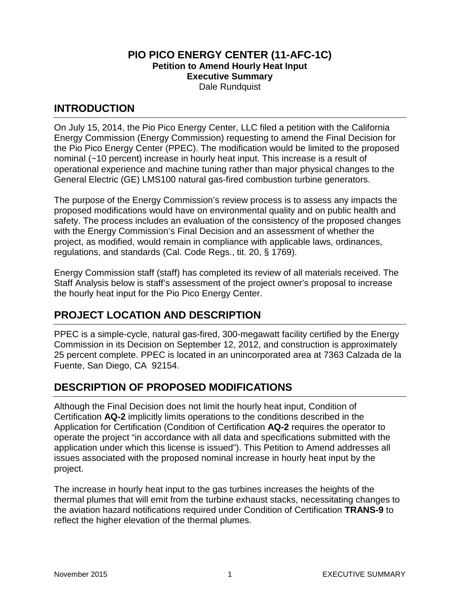#### **PIO PICO ENERGY CENTER (11-AFC-1C) Petition to Amend Hourly Heat Input Executive Summary** Dale Rundquist

### **INTRODUCTION**

On July 15, 2014, the Pio Pico Energy Center, LLC filed a petition with the California Energy Commission (Energy Commission) requesting to amend the Final Decision for the Pio Pico Energy Center (PPEC). The modification would be limited to the proposed nominal (~10 percent) increase in hourly heat input. This increase is a result of operational experience and machine tuning rather than major physical changes to the General Electric (GE) LMS100 natural gas-fired combustion turbine generators.

The purpose of the Energy Commission's review process is to assess any impacts the proposed modifications would have on environmental quality and on public health and safety. The process includes an evaluation of the consistency of the proposed changes with the Energy Commission's Final Decision and an assessment of whether the project, as modified, would remain in compliance with applicable laws, ordinances, regulations, and standards (Cal. Code Regs., tit. 20, § 1769).

Energy Commission staff (staff) has completed its review of all materials received. The Staff Analysis below is staff's assessment of the project owner's proposal to increase the hourly heat input for the Pio Pico Energy Center.

# **PROJECT LOCATION AND DESCRIPTION**

PPEC is a simple-cycle, natural gas-fired, 300-megawatt facility certified by the Energy Commission in its Decision on September 12, 2012, and construction is approximately 25 percent complete. PPEC is located in an unincorporated area at 7363 Calzada de la Fuente, San Diego, CA 92154.

# **DESCRIPTION OF PROPOSED MODIFICATIONS**

Although the Final Decision does not limit the hourly heat input, Condition of Certification **AQ-2** implicitly limits operations to the conditions described in the Application for Certification (Condition of Certification **AQ-2** requires the operator to operate the project "in accordance with all data and specifications submitted with the application under which this license is issued"). This Petition to Amend addresses all issues associated with the proposed nominal increase in hourly heat input by the project.

The increase in hourly heat input to the gas turbines increases the heights of the thermal plumes that will emit from the turbine exhaust stacks, necessitating changes to the aviation hazard notifications required under Condition of Certification **TRANS-9** to reflect the higher elevation of the thermal plumes.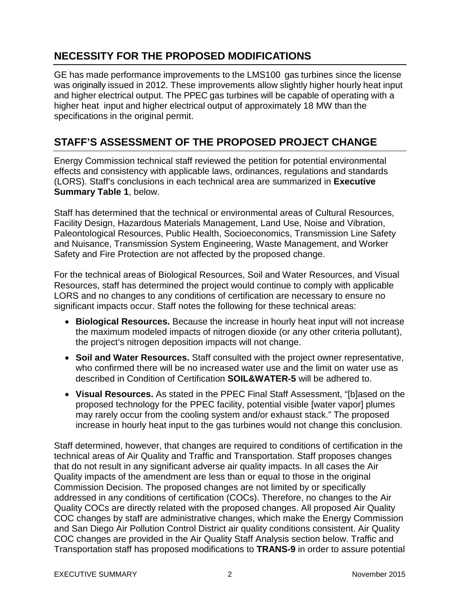# **NECESSITY FOR THE PROPOSED MODIFICATIONS**

GE has made performance improvements to the LMS100 gas turbines since the license was originally issued in 2012. These improvements allow slightly higher hourly heat input and higher electrical output. The PPEC gas turbines will be capable of operating with a higher heat input and higher electrical output of approximately 18 MW than the specifications in the original permit.

# **STAFF'S ASSESSMENT OF THE PROPOSED PROJECT CHANGE**

Energy Commission technical staff reviewed the petition for potential environmental effects and consistency with applicable laws, ordinances, regulations and standards (LORS). Staff's conclusions in each technical area are summarized in **Executive Summary Table 1**, below.

Staff has determined that the technical or environmental areas of Cultural Resources, Facility Design, Hazardous Materials Management, Land Use, Noise and Vibration, Paleontological Resources, Public Health, Socioeconomics, Transmission Line Safety and Nuisance, Transmission System Engineering, Waste Management, and Worker Safety and Fire Protection are not affected by the proposed change.

For the technical areas of Biological Resources, Soil and Water Resources, and Visual Resources, staff has determined the project would continue to comply with applicable LORS and no changes to any conditions of certification are necessary to ensure no significant impacts occur. Staff notes the following for these technical areas:

- **Biological Resources.** Because the increase in hourly heat input will not increase the maximum modeled impacts of nitrogen dioxide (or any other criteria pollutant), the project's nitrogen deposition impacts will not change.
- **Soil and Water Resources.** Staff consulted with the project owner representative, who confirmed there will be no increased water use and the limit on water use as described in Condition of Certification **SOIL&WATER-5** will be adhered to.
- **Visual Resources.** As stated in the PPEC Final Staff Assessment, "[b]ased on the proposed technology for the PPEC facility, potential visible [water vapor] plumes may rarely occur from the cooling system and/or exhaust stack." The proposed increase in hourly heat input to the gas turbines would not change this conclusion.

Staff determined, however, that changes are required to conditions of certification in the technical areas of Air Quality and Traffic and Transportation. Staff proposes changes that do not result in any significant adverse air quality impacts. In all cases the Air Quality impacts of the amendment are less than or equal to those in the original Commission Decision. The proposed changes are not limited by or specifically addressed in any conditions of certification (COCs). Therefore, no changes to the Air Quality COCs are directly related with the proposed changes. All proposed Air Quality COC changes by staff are administrative changes, which make the Energy Commission and San Diego Air Pollution Control District air quality conditions consistent. Air Quality COC changes are provided in the Air Quality Staff Analysis section below. Traffic and Transportation staff has proposed modifications to **TRANS-9** in order to assure potential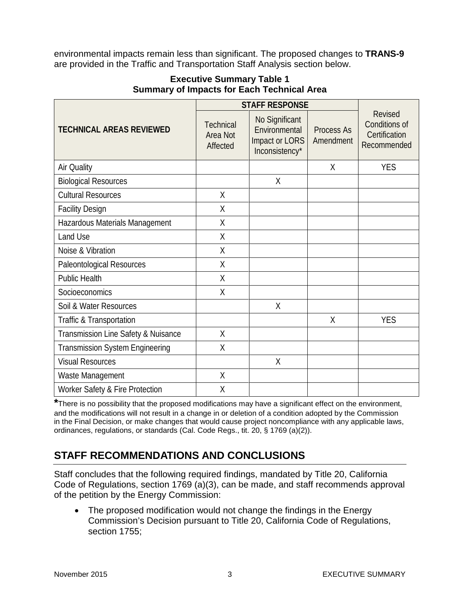environmental impacts remain less than significant. The proposed changes to **TRANS-9** are provided in the Traffic and Transportation Staff Analysis section below.

|                                        | <b>STAFF RESPONSE</b>                           |                                                                     |                         |                                                                 |
|----------------------------------------|-------------------------------------------------|---------------------------------------------------------------------|-------------------------|-----------------------------------------------------------------|
| <b>TECHNICAL AREAS REVIEWED</b>        | <b>Technical</b><br><b>Area Not</b><br>Affected | No Significant<br>Environmental<br>Impact or LORS<br>Inconsistency* | Process As<br>Amendment | <b>Revised</b><br>Conditions of<br>Certification<br>Recommended |
| Air Quality                            |                                                 |                                                                     | X                       | <b>YES</b>                                                      |
| <b>Biological Resources</b>            |                                                 | X                                                                   |                         |                                                                 |
| <b>Cultural Resources</b>              | X                                               |                                                                     |                         |                                                                 |
| <b>Facility Design</b>                 | X                                               |                                                                     |                         |                                                                 |
| Hazardous Materials Management         | $\sf X$                                         |                                                                     |                         |                                                                 |
| Land Use                               | $\sf X$                                         |                                                                     |                         |                                                                 |
| Noise & Vibration                      | X                                               |                                                                     |                         |                                                                 |
| Paleontological Resources              | Χ                                               |                                                                     |                         |                                                                 |
| <b>Public Health</b>                   | X                                               |                                                                     |                         |                                                                 |
| Socioeconomics                         | X                                               |                                                                     |                         |                                                                 |
| Soil & Water Resources                 |                                                 | $\chi$                                                              |                         |                                                                 |
| Traffic & Transportation               |                                                 |                                                                     | X                       | <b>YES</b>                                                      |
| Transmission Line Safety & Nuisance    | X                                               |                                                                     |                         |                                                                 |
| <b>Transmission System Engineering</b> | X                                               |                                                                     |                         |                                                                 |
| <b>Visual Resources</b>                |                                                 | $\chi$                                                              |                         |                                                                 |
| Waste Management                       | X                                               |                                                                     |                         |                                                                 |
| Worker Safety & Fire Protection        | X                                               |                                                                     |                         |                                                                 |

### **Executive Summary Table 1 Summary of Impacts for Each Technical Area**

**\***There is no possibility that the proposed modifications may have a significant effect on the environment, and the modifications will not result in a change in or deletion of a condition adopted by the Commission in the Final Decision, or make changes that would cause project noncompliance with any applicable laws, ordinances, regulations, or standards (Cal. Code Regs., tit. 20, § 1769 (a)(2)).

# **STAFF RECOMMENDATIONS AND CONCLUSIONS**

Staff concludes that the following required findings, mandated by Title 20, California Code of Regulations, section 1769 (a)(3), can be made, and staff recommends approval of the petition by the Energy Commission:

• The proposed modification would not change the findings in the Energy Commission's Decision pursuant to Title 20, California Code of Regulations, section 1755: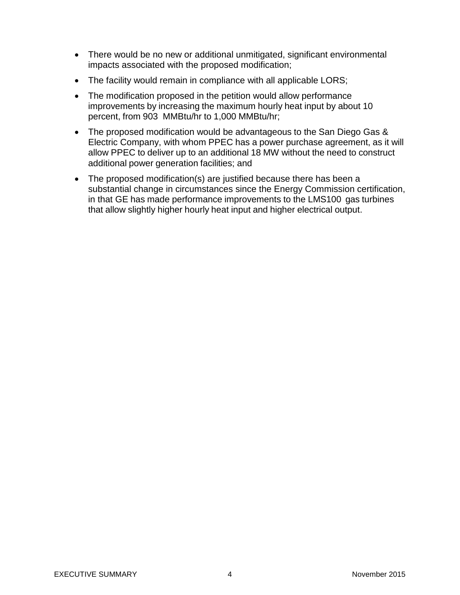- There would be no new or additional unmitigated, significant environmental impacts associated with the proposed modification;
- The facility would remain in compliance with all applicable LORS;
- The modification proposed in the petition would allow performance improvements by increasing the maximum hourly heat input by about 10 percent, from 903 MMBtu/hr to 1,000 MMBtu/hr;
- The proposed modification would be advantageous to the San Diego Gas & Electric Company, with whom PPEC has a power purchase agreement, as it will allow PPEC to deliver up to an additional 18 MW without the need to construct additional power generation facilities; and
- The proposed modification(s) are justified because there has been a substantial change in circumstances since the Energy Commission certification, in that GE has made performance improvements to the LMS100 gas turbines that allow slightly higher hourly heat input and higher electrical output.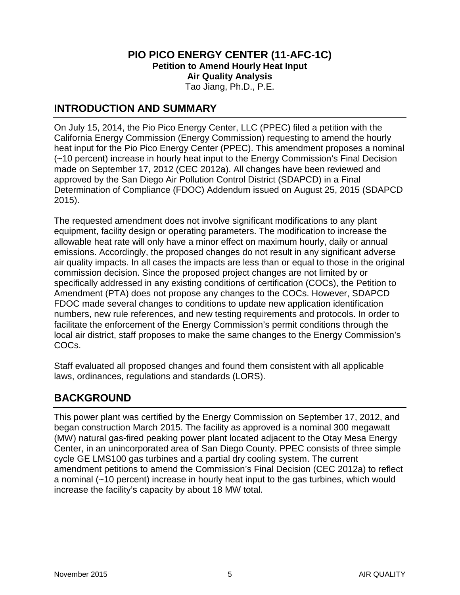#### **PIO PICO ENERGY CENTER (11-AFC-1C) Petition to Amend Hourly Heat Input Air Quality Analysis** Tao Jiang, Ph.D., P.E.

### **INTRODUCTION AND SUMMARY**

On July 15, 2014, the Pio Pico Energy Center, LLC (PPEC) filed a petition with the California Energy Commission (Energy Commission) requesting to amend the hourly heat input for the Pio Pico Energy Center (PPEC). This amendment proposes a nominal (~10 percent) increase in hourly heat input to the Energy Commission's Final Decision made on September 17, 2012 (CEC 2012a). All changes have been reviewed and approved by the San Diego Air Pollution Control District (SDAPCD) in a Final Determination of Compliance (FDOC) Addendum issued on August 25, 2015 (SDAPCD 2015).

The requested amendment does not involve significant modifications to any plant equipment, facility design or operating parameters. The modification to increase the allowable heat rate will only have a minor effect on maximum hourly, daily or annual emissions. Accordingly, the proposed changes do not result in any significant adverse air quality impacts. In all cases the impacts are less than or equal to those in the original commission decision. Since the proposed project changes are not limited by or specifically addressed in any existing conditions of certification (COCs), the Petition to Amendment (PTA) does not propose any changes to the COCs. However, SDAPCD FDOC made several changes to conditions to update new application identification numbers, new rule references, and new testing requirements and protocols. In order to facilitate the enforcement of the Energy Commission's permit conditions through the local air district, staff proposes to make the same changes to the Energy Commission's COCs.

Staff evaluated all proposed changes and found them consistent with all applicable laws, ordinances, regulations and standards (LORS).

### **BACKGROUND**

This power plant was certified by the Energy Commission on September 17, 2012, and began construction March 2015. The facility as approved is a nominal 300 megawatt (MW) natural gas-fired peaking power plant located adjacent to the Otay Mesa Energy Center, in an unincorporated area of San Diego County. PPEC consists of three simple cycle GE LMS100 gas turbines and a partial dry cooling system. The current amendment petitions to amend the Commission's Final Decision (CEC 2012a) to reflect a nominal (~10 percent) increase in hourly heat input to the gas turbines, which would increase the facility's capacity by about 18 MW total.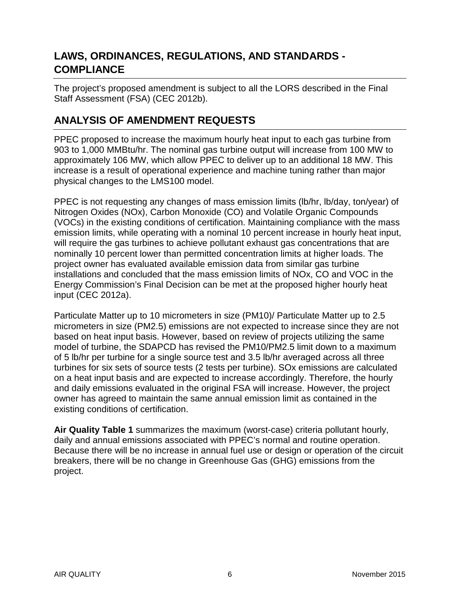# **LAWS, ORDINANCES, REGULATIONS, AND STANDARDS - COMPLIANCE**

The project's proposed amendment is subject to all the LORS described in the Final Staff Assessment (FSA) (CEC 2012b).

# **ANALYSIS OF AMENDMENT REQUESTS**

PPEC proposed to increase the maximum hourly heat input to each gas turbine from 903 to 1,000 MMBtu/hr. The nominal gas turbine output will increase from 100 MW to approximately 106 MW, which allow PPEC to deliver up to an additional 18 MW. This increase is a result of operational experience and machine tuning rather than major physical changes to the LMS100 model.

PPEC is not requesting any changes of mass emission limits (lb/hr, lb/day, ton/year) of Nitrogen Oxides (NOx), Carbon Monoxide (CO) and Volatile Organic Compounds (VOCs) in the existing conditions of certification. Maintaining compliance with the mass emission limits, while operating with a nominal 10 percent increase in hourly heat input, will require the gas turbines to achieve pollutant exhaust gas concentrations that are nominally 10 percent lower than permitted concentration limits at higher loads. The project owner has evaluated available emission data from similar gas turbine installations and concluded that the mass emission limits of NOx, CO and VOC in the Energy Commission's Final Decision can be met at the proposed higher hourly heat input (CEC 2012a).

Particulate Matter up to 10 micrometers in size (PM10)/ Particulate Matter up to 2.5 micrometers in size (PM2.5) emissions are not expected to increase since they are not based on heat input basis. However, based on review of projects utilizing the same model of turbine, the SDAPCD has revised the PM10/PM2.5 limit down to a maximum of 5 lb/hr per turbine for a single source test and 3.5 lb/hr averaged across all three turbines for six sets of source tests (2 tests per turbine). SOx emissions are calculated on a heat input basis and are expected to increase accordingly. Therefore, the hourly and daily emissions evaluated in the original FSA will increase. However, the project owner has agreed to maintain the same annual emission limit as contained in the existing conditions of certification.

**Air Quality Table 1** summarizes the maximum (worst-case) criteria pollutant hourly, daily and annual emissions associated with PPEC's normal and routine operation. Because there will be no increase in annual fuel use or design or operation of the circuit breakers, there will be no change in Greenhouse Gas (GHG) emissions from the project.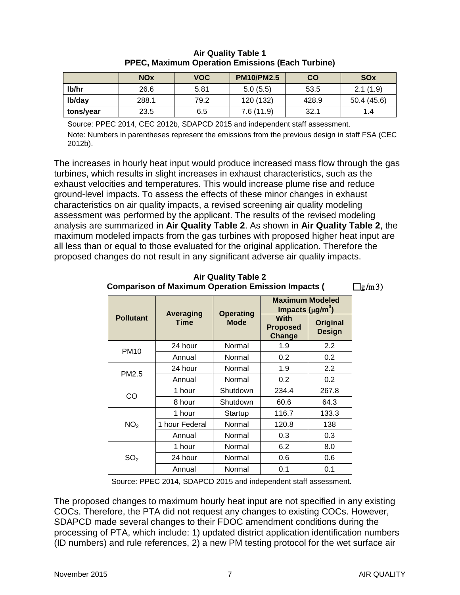|           | <b>NO<sub>x</sub></b> | <b>VOC</b> | <b>PM10/PM2.5</b> | $\mathbf{CO}$ | <b>SOx</b> |
|-----------|-----------------------|------------|-------------------|---------------|------------|
| lb/hr     | 26.6                  | 5.81       | 5.0(5.5)          | 53.5          | 2.1(1.9)   |
| lb/day    | 288.1                 | 79.2       | 120 (132)         | 428.9         | 50.4(45.6) |
| tons/year | 23.5                  | 6.5        | 7.6(11.9)         | 32.1          | 1.4        |

#### **Air Quality Table 1 PPEC, Maximum Operation Emissions (Each Turbine)**

Source: PPEC 2014, CEC 2012b, SDAPCD 2015 and independent staff assessment. Note: Numbers in parentheses represent the emissions from the previous design in staff FSA (CEC 2012b).

The increases in hourly heat input would produce increased mass flow through the gas turbines, which results in slight increases in exhaust characteristics, such as the exhaust velocities and temperatures. This would increase plume rise and reduce ground-level impacts. To assess the effects of these minor changes in exhaust characteristics on air quality impacts, a revised screening air quality modeling assessment was performed by the applicant. The results of the revised modeling analysis are summarized in **Air Quality Table 2**. As shown in **Air Quality Table 2**, the maximum modeled impacts from the gas turbines with proposed higher heat input are all less than or equal to those evaluated for the original application. Therefore the proposed changes do not result in any significant adverse air quality impacts.

#### **Pollutant Averaging Time Operating Mode Maximum Modeled Impacts (**µ**g/m<sup>3</sup> ) With Proposed Change Original Design** PM10 24 hour | Normal | 1.9 | 2.2 Annual | Normal | 0.2 | 0.2 PM2.5 24 hour | Normal | 1.9 | 2.2 Annual | Normal | 0.2 | 0.2 CO 1 hour | Shutdown | 234.4 | 267.8 8 hour Shutdown 60.6 64.3  $NO<sub>2</sub>$ 1 hour | Startup | 116.7 | 133.3 1 hour Federal Normal 1 120.8 1 138 Annual | Normal | 0.3 | 0.3  $SO<sub>2</sub>$ 1 hour | Normal | 6.2 | 8.0 24 hour | Normal  $\vert$  0.6 | 0.6 Annual | Normal | 0.1 | 0.1

#### **Air Quality Table 2 Comparison of Maximum Operation Emission Impacts (Semi-Fig/m 3)**

Source: PPEC 2014, SDAPCD 2015 and independent staff assessment.

The proposed changes to maximum hourly heat input are not specified in any existing COCs. Therefore, the PTA did not request any changes to existing COCs. However, SDAPCD made several changes to their FDOC amendment conditions during the processing of PTA, which include: 1) updated district application identification numbers (ID numbers) and rule references, 2) a new PM testing protocol for the wet surface air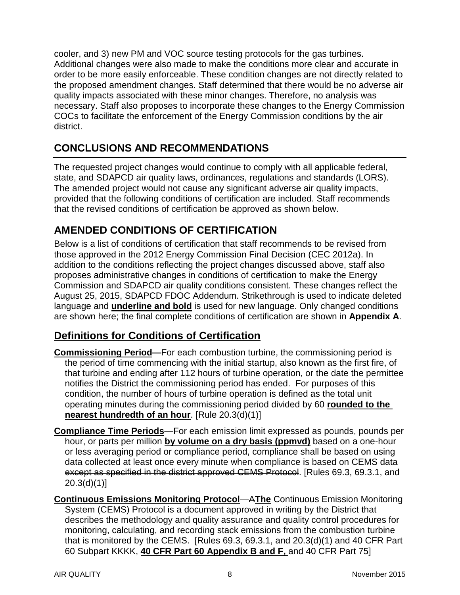cooler, and 3) new PM and VOC source testing protocols for the gas turbines. Additional changes were also made to make the conditions more clear and accurate in order to be more easily enforceable. These condition changes are not directly related to the proposed amendment changes. Staff determined that there would be no adverse air quality impacts associated with these minor changes. Therefore, no analysis was necessary. Staff also proposes to incorporate these changes to the Energy Commission COCs to facilitate the enforcement of the Energy Commission conditions by the air district.

# **CONCLUSIONS AND RECOMMENDATIONS**

The requested project changes would continue to comply with all applicable federal, state, and SDAPCD air quality laws, ordinances, regulations and standards (LORS). The amended project would not cause any significant adverse air quality impacts, provided that the following conditions of certification are included. Staff recommends that the revised conditions of certification be approved as shown below.

# **AMENDED CONDITIONS OF CERTIFICATION**

Below is a list of conditions of certification that staff recommends to be revised from those approved in the 2012 Energy Commission Final Decision (CEC 2012a). In addition to the conditions reflecting the project changes discussed above, staff also proposes administrative changes in conditions of certification to make the Energy Commission and SDAPCD air quality conditions consistent. These changes reflect the August 25, 2015, SDAPCD FDOC Addendum. Strikethrough is used to indicate deleted language and **underline and bold** is used for new language. Only changed conditions are shown here; the final complete conditions of certification are shown in **Appendix A**.

# **Definitions for Conditions of Certification**

- **Commissioning Period—**For each combustion turbine, the commissioning period is the period of time commencing with the initial startup, also known as the first fire, of that turbine and ending after 112 hours of turbine operation, or the date the permittee notifies the District the commissioning period has ended. For purposes of this condition, the number of hours of turbine operation is defined as the total unit operating minutes during the commissioning period divided by 60 **rounded to the nearest hundredth of an hour**. [Rule 20.3(d)(1)]
- **Compliance Time Periods**—For each emission limit expressed as pounds, pounds per hour, or parts per million **by volume on a dry basis (ppmvd)** based on a one-hour or less averaging period or compliance period, compliance shall be based on using data collected at least once every minute when compliance is based on CEMS data except as specified in the district approved CEMS Protocol. [Rules 69.3, 69.3.1, and 20.3(d)(1)]
- **Continuous Emissions Monitoring Protocol**—A**The** Continuous Emission Monitoring System (CEMS) Protocol is a document approved in writing by the District that describes the methodology and quality assurance and quality control procedures for monitoring, calculating, and recording stack emissions from the combustion turbine that is monitored by the CEMS. [Rules 69.3, 69.3.1, and 20.3(d)(1) and 40 CFR Part 60 Subpart KKKK, **40 CFR Part 60 Appendix B and F,** and 40 CFR Part 75]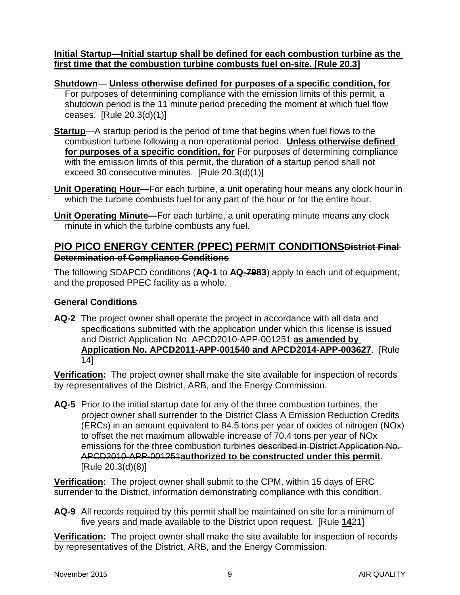**Initial Startup—Initial startup shall be defined for each combustion turbine as the first time that the combustion turbine combusts fuel on-site. [Rule 20.3]**

**Shutdown**— **Unless otherwise defined for purposes of a specific condition, for** For purposes of determining compliance with the emission limits of this permit, a shutdown period is the 11 minute period preceding the moment at which fuel flow ceases. [Rule 20.3(d)(1)]

- **Startup**—A startup period is the period of time that begins when fuel flows to the combustion turbine following a non-operational period. **Unless otherwise defined**  for purposes of a specific condition, for For purposes of determining compliance with the emission limits of this permit, the duration of a startup period shall not exceed 30 consecutive minutes. [Rule 20.3(d)(1)]
- **Unit Operating Hour—**For each turbine, a unit operating hour means any clock hour in which the turbine combusts fuel for any part of the hour or for the entire hour.
- **Unit Operating Minute—**For each turbine, a unit operating minute means any clock minute in which the turbine combusts any fuel.

### **PIO PICO ENERGY CENTER (PPEC) PERMIT CONDITIONSDistrict Final Determination of Compliance Conditions**

The following SDAPCD conditions (**AQ-1** to **AQ-7983**) apply to each unit of equipment, and the proposed PPEC facility as a whole.

### **General Conditions**

**AQ-2** The project owner shall operate the project in accordance with all data and specifications submitted with the application under which this license is issued and District Application No. APCD2010-APP-001251 **as amended by Application No. APCD2011-APP-001540 and APCD2014-APP-003627**. [Rule 14]

**Verification:** The project owner shall make the site available for inspection of records by representatives of the District, ARB, and the Energy Commission.

**AQ-5** Prior to the initial startup date for any of the three combustion turbines, the project owner shall surrender to the District Class A Emission Reduction Credits (ERCs) in an amount equivalent to 84.5 tons per year of oxides of nitrogen (NOx) to offset the net maximum allowable increase of 70.4 tons per year of NOx emissions for the three combustion turbines described in District Application No. APCD2010-APP-001251**authorized to be constructed under this permit**. [Rule 20.3(d)(8)]

**Verification:** The project owner shall submit to the CPM, within 15 days of ERC surrender to the District, information demonstrating compliance with this condition.

**AQ-9** All records required by this permit shall be maintained on site for a minimum of five years and made available to the District upon request. [Rule **14**21]

**Verification:** The project owner shall make the site available for inspection of records by representatives of the District, ARB, and the Energy Commission.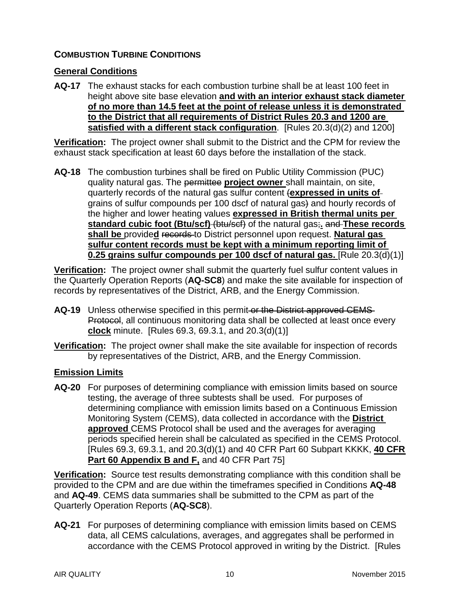### **COMBUSTION TURBINE CONDITIONS**

#### **General Conditions**

**AQ-17** The exhaust stacks for each combustion turbine shall be at least 100 feet in height above site base elevation **and with an interior exhaust stack diameter of no more than 14.5 feet at the point of release unless it is demonstrated to the District that all requirements of District Rules 20.3 and 1200 are satisfied with a different stack configuration**. [Rules 20.3(d)(2) and 1200]

**Verification:** The project owner shall submit to the District and the CPM for review the exhaust stack specification at least 60 days before the installation of the stack.

**AQ-18** The combustion turbines shall be fired on Public Utility Commission (PUC) quality natural gas. The permittee **project owner** shall maintain, on site, quarterly records of the natural gas sulfur content (**expressed in units of** grains of sulfur compounds per 100 dscf of natural gas) and hourly records of the higher and lower heating values **expressed in British thermal units per standard cubic foot (Btu/scf)** (btu/scf) of the natural gas;**.** and **These records shall be** provide**d** records to District personnel upon request. **Natural gas sulfur content records must be kept with a minimum reporting limit of 0.25 grains sulfur compounds per 100 dscf of natural gas.** [Rule 20.3(d)(1)]

**Verification:** The project owner shall submit the quarterly fuel sulfur content values in the Quarterly Operation Reports (**AQ-SC8**) and make the site available for inspection of records by representatives of the District, ARB, and the Energy Commission.

- **AQ-19** Unless otherwise specified in this permit or the District approved CEMS Protocol, all continuous monitoring data shall be collected at least once every **clock** minute. [Rules 69.3, 69.3.1, and 20.3(d)(1)]
- **Verification:** The project owner shall make the site available for inspection of records by representatives of the District, ARB, and the Energy Commission.

### **Emission Limits**

**AQ-20** For purposes of determining compliance with emission limits based on source testing, the average of three subtests shall be used. For purposes of determining compliance with emission limits based on a Continuous Emission Monitoring System (CEMS), data collected in accordance with the **District approved** CEMS Protocol shall be used and the averages for averaging periods specified herein shall be calculated as specified in the CEMS Protocol. [Rules 69.3, 69.3.1, and 20.3(d)(1) and 40 CFR Part 60 Subpart KKKK, **40 CFR Part 60 Appendix B and F,** and 40 CFR Part 75]

**Verification:** Source test results demonstrating compliance with this condition shall be provided to the CPM and are due within the timeframes specified in Conditions **AQ-48** and **AQ-49**. CEMS data summaries shall be submitted to the CPM as part of the Quarterly Operation Reports (**AQ-SC8**).

**AQ-21** For purposes of determining compliance with emission limits based on CEMS data, all CEMS calculations, averages, and aggregates shall be performed in accordance with the CEMS Protocol approved in writing by the District. [Rules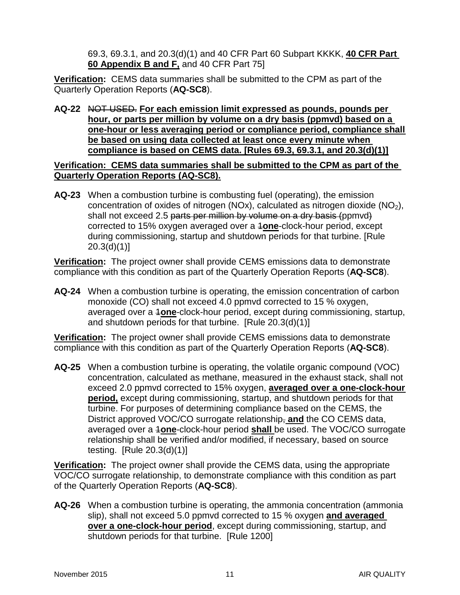69.3, 69.3.1, and 20.3(d)(1) and 40 CFR Part 60 Subpart KKKK, **40 CFR Part 60 Appendix B and F,** and 40 CFR Part 75]

**Verification:** CEMS data summaries shall be submitted to the CPM as part of the Quarterly Operation Reports (**AQ-SC8**).

**AQ-22** NOT USED. **For each emission limit expressed as pounds, pounds per hour, or parts per million by volume on a dry basis (ppmvd) based on a one-hour or less averaging period or compliance period, compliance shall be based on using data collected at least once every minute when compliance is based on CEMS data. [Rules 69.3, 69.3.1, and 20.3(d)(1)]**

**Verification: CEMS data summaries shall be submitted to the CPM as part of the Quarterly Operation Reports (AQ-SC8).**

**AQ-23** When a combustion turbine is combusting fuel (operating), the emission concentration of oxides of nitrogen (NOx), calculated as nitrogen dioxide (NO<sub>2</sub>), shall not exceed 2.5 parts per million by volume on a dry basis (ppmvd) corrected to 15% oxygen averaged over a 1**one**-clock-hour period, except during commissioning, startup and shutdown periods for that turbine. [Rule  $20.3(d)(1)$ ]

**Verification:** The project owner shall provide CEMS emissions data to demonstrate compliance with this condition as part of the Quarterly Operation Reports (**AQ-SC8**).

**AQ-24** When a combustion turbine is operating, the emission concentration of carbon monoxide (CO) shall not exceed 4.0 ppmvd corrected to 15 % oxygen, averaged over a 1**one**-clock-hour period, except during commissioning, startup, and shutdown periods for that turbine. [Rule 20.3(d)(1)]

**Verification:** The project owner shall provide CEMS emissions data to demonstrate compliance with this condition as part of the Quarterly Operation Reports (**AQ-SC8**).

**AQ-25** When a combustion turbine is operating, the volatile organic compound (VOC) concentration, calculated as methane, measured in the exhaust stack, shall not exceed 2.0 ppmvd corrected to 15% oxygen, **averaged over a one-clock-hour period,** except during commissioning, startup, and shutdown periods for that turbine. For purposes of determining compliance based on the CEMS, the District approved VOC/CO surrogate relationship, **and** the CO CEMS data, averaged over a 1**one**-clock-hour period **shall** be used. The VOC/CO surrogate relationship shall be verified and/or modified, if necessary, based on source testing. [Rule 20.3(d)(1)]

**Verification:** The project owner shall provide the CEMS data, using the appropriate VOC/CO surrogate relationship, to demonstrate compliance with this condition as part of the Quarterly Operation Reports (**AQ-SC8**).

**AQ-26** When a combustion turbine is operating, the ammonia concentration (ammonia slip), shall not exceed 5.0 ppmvd corrected to 15 % oxygen **and averaged over a one-clock-hour period**, except during commissioning, startup, and shutdown periods for that turbine. [Rule 1200]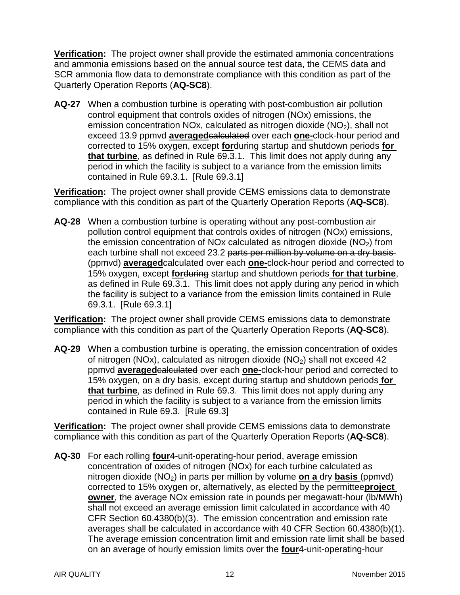**Verification:** The project owner shall provide the estimated ammonia concentrations and ammonia emissions based on the annual source test data, the CEMS data and SCR ammonia flow data to demonstrate compliance with this condition as part of the Quarterly Operation Reports (**AQ-SC8**).

**AQ-27** When a combustion turbine is operating with post-combustion air pollution control equipment that controls oxides of nitrogen (NOx) emissions, the emission concentration NOx, calculated as nitrogen dioxide  $(NO<sub>2</sub>)$ , shall not exceed 13.9 ppmvd **averaged**calculated over each **one-**clock-hour period and corrected to 15% oxygen, except **for**during startup and shutdown periods **for that turbine**, as defined in Rule 69.3.1. This limit does not apply during any period in which the facility is subject to a variance from the emission limits contained in Rule 69.3.1. [Rule 69.3.1]

**Verification:** The project owner shall provide CEMS emissions data to demonstrate compliance with this condition as part of the Quarterly Operation Reports (**AQ-SC8**).

**AQ-28** When a combustion turbine is operating without any post-combustion air pollution control equipment that controls oxides of nitrogen (NOx) emissions, the emission concentration of NOx calculated as nitrogen dioxide  $(NO<sub>2</sub>)$  from each turbine shall not exceed 23.2 parts per million by volume on a dry basis (ppmvd) **averaged**calculated over each **one-**clock-hour period and corrected to 15% oxygen, except **for**during startup and shutdown periods **for that turbine**, as defined in Rule 69.3.1. This limit does not apply during any period in which the facility is subject to a variance from the emission limits contained in Rule 69.3.1. [Rule 69.3.1]

**Verification:** The project owner shall provide CEMS emissions data to demonstrate compliance with this condition as part of the Quarterly Operation Reports (**AQ-SC8**).

**AQ-29** When a combustion turbine is operating, the emission concentration of oxides of nitrogen (NOx), calculated as nitrogen dioxide (NO<sub>2</sub>) shall not exceed 42 ppmvd **averaged**calculated over each **one-**clock-hour period and corrected to 15% oxygen, on a dry basis, except during startup and shutdown periods **for that turbine**, as defined in Rule 69.3. This limit does not apply during any period in which the facility is subject to a variance from the emission limits contained in Rule 69.3. [Rule 69.3]

**Verification:** The project owner shall provide CEMS emissions data to demonstrate compliance with this condition as part of the Quarterly Operation Reports (**AQ-SC8**).

**AQ-30** For each rolling **four**4-unit-operating-hour period, average emission concentration of oxides of nitrogen (NOx) for each turbine calculated as nitrogen dioxide (NO2) in parts per million by volume **on a** dry **basis** (ppmvd) corrected to 15% oxygen or, alternatively, as elected by the permittee**project owner**, the average NOx emission rate in pounds per megawatt-hour (lb/MWh) shall not exceed an average emission limit calculated in accordance with 40 CFR Section 60.4380(b)(3). The emission concentration and emission rate averages shall be calculated in accordance with 40 CFR Section 60.4380(b)(1). The average emission concentration limit and emission rate limit shall be based on an average of hourly emission limits over the **four**4-unit-operating-hour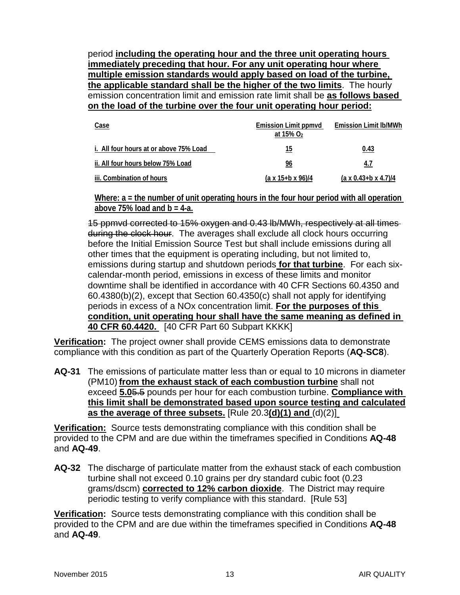period **including the operating hour and the three unit operating hours immediately preceding that hour. For any unit operating hour where multiple emission standards would apply based on load of the turbine, the applicable standard shall be the higher of the two limits**. The hourly emission concentration limit and emission rate limit shall be **as follows based on the load of the turbine over the four unit operating hour period:**

| Case                                   | Emission Limit ppmvd<br>at 15% $O2$ | <b>Emission Limit Ib/MWh</b>       |
|----------------------------------------|-------------------------------------|------------------------------------|
| i. All four hours at or above 75% Load | 15                                  | 0.43                               |
| ii. All four hours below 75% Load      | 96                                  | 4.7                                |
| iii. Combination of hours              | $(a \times 15 + b \times 96)/4$     | $(a \times 0.43 + b \times 4.7)/4$ |

**Where: a = the number of unit operating hours in the four hour period with all operation above 75% load and b = 4-a.**

15 ppmvd corrected to 15% oxygen and 0.43 lb/MWh, respectively at all times during the clock hour. The averages shall exclude all clock hours occurring before the Initial Emission Source Test but shall include emissions during all other times that the equipment is operating including, but not limited to, emissions during startup and shutdown periods **for that turbine**. For each sixcalendar-month period, emissions in excess of these limits and monitor downtime shall be identified in accordance with 40 CFR Sections 60.4350 and 60.4380(b)(2), except that Section 60.4350(c) shall not apply for identifying periods in excess of a NOx concentration limit. **For the purposes of this condition, unit operating hour shall have the same meaning as defined in 40 CFR 60.4420.** [40 CFR Part 60 Subpart KKKK]

**Verification:** The project owner shall provide CEMS emissions data to demonstrate compliance with this condition as part of the Quarterly Operation Reports (**AQ-SC8**).

**AQ-31** The emissions of particulate matter less than or equal to 10 microns in diameter (PM10) **from the exhaust stack of each combustion turbine** shall not exceed **5.0**5.5 pounds per hour for each combustion turbine. **Compliance with this limit shall be demonstrated based upon source testing and calculated as the average of three subsets.** [Rule 20.3**(d)(1) and** (d)(2)]

**Verification:** Source tests demonstrating compliance with this condition shall be provided to the CPM and are due within the timeframes specified in Conditions **AQ-48** and **AQ-49**.

**AQ-32** The discharge of particulate matter from the exhaust stack of each combustion turbine shall not exceed 0.10 grains per dry standard cubic foot (0.23 grams/dscm) **corrected to 12% carbon dioxide**. The District may require periodic testing to verify compliance with this standard. [Rule 53]

**Verification:** Source tests demonstrating compliance with this condition shall be provided to the CPM and are due within the timeframes specified in Conditions **AQ-48** and **AQ-49**.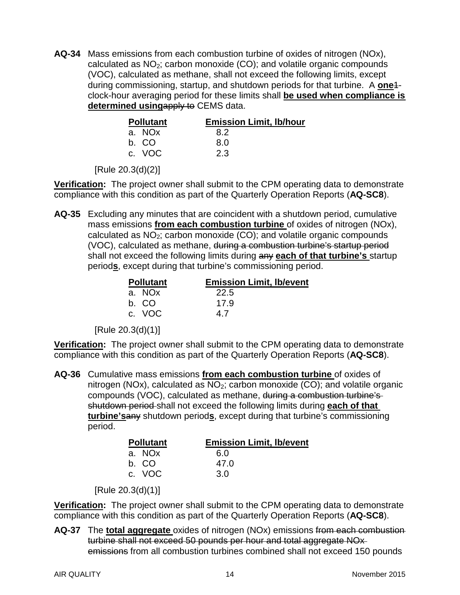**AQ-34** Mass emissions from each combustion turbine of oxides of nitrogen (NOx), calculated as  $NO<sub>2</sub>$ ; carbon monoxide (CO); and volatile organic compounds (VOC), calculated as methane, shall not exceed the following limits, except during commissioning, startup, and shutdown periods for that turbine. A **one**1 clock-hour averaging period for these limits shall **be used when compliance is determined using**apply to CEMS data.

| <b>Pollutant</b> | <b>Emission Limit, Ib/hour</b> |
|------------------|--------------------------------|
| a. NOx           | 8.2                            |
| b. CO            | 8.0                            |
| c. VOC           | 2.3                            |

[Rule 20.3(d)(2)]

**Verification:** The project owner shall submit to the CPM operating data to demonstrate compliance with this condition as part of the Quarterly Operation Reports (**AQ-SC8**).

**AQ-35** Excluding any minutes that are coincident with a shutdown period, cumulative mass emissions **from each combustion turbine** of oxides of nitrogen (NOx), calculated as  $NO<sub>2</sub>$ ; carbon monoxide (CO); and volatile organic compounds (VOC), calculated as methane, during a combustion turbine's startup period shall not exceed the following limits during any **each of that turbine's** startup period**s**, except during that turbine's commissioning period.

| <b>Pollutant</b> | <b>Emission Limit, Ib/event</b> |
|------------------|---------------------------------|
| a. NOx           | 22.5                            |
| b. CO            | 17.9                            |
| c. VOC           | 47                              |

[Rule 20.3(d)(1)]

**Verification:** The project owner shall submit to the CPM operating data to demonstrate compliance with this condition as part of the Quarterly Operation Reports (**AQ-SC8**).

**AQ-36** Cumulative mass emissions **from each combustion turbine** of oxides of nitrogen (NOx), calculated as  $NO<sub>2</sub>$ ; carbon monoxide (CO); and volatile organic compounds (VOC), calculated as methane, during a combustion turbine's shutdown period shall not exceed the following limits during **each of that turbine's**any shutdown period**s**, except during that turbine's commissioning period.

| <b>Pollutant</b> | <b>Emission Limit, Ib/event</b> |
|------------------|---------------------------------|
| a. NOx           | 6.0                             |
| b. CO            | 47.0                            |
| c. VOC           | 3 Q                             |

[Rule 20.3(d)(1)]

**Verification:** The project owner shall submit to the CPM operating data to demonstrate compliance with this condition as part of the Quarterly Operation Reports (**AQ-SC8**).

**AQ-37** The **total aggregate** oxides of nitrogen (NOx) emissions from each combustion turbine shall not exceed 50 pounds per hour and total aggregate NOx emissions from all combustion turbines combined shall not exceed 150 pounds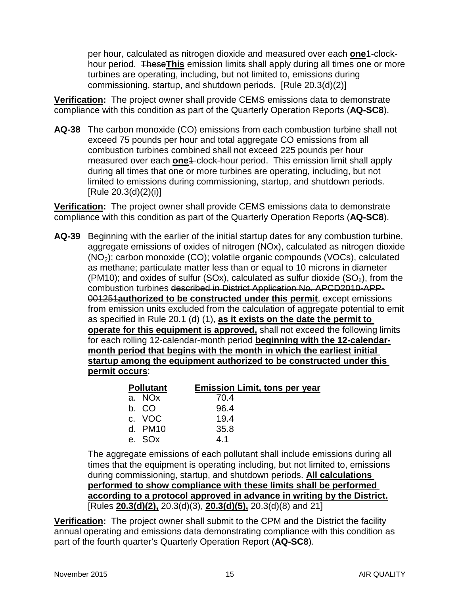per hour, calculated as nitrogen dioxide and measured over each **one**1-clockhour period. These**This** emission limits shall apply during all times one or more turbines are operating, including, but not limited to, emissions during commissioning, startup, and shutdown periods. [Rule 20.3(d)(2)]

**Verification:** The project owner shall provide CEMS emissions data to demonstrate compliance with this condition as part of the Quarterly Operation Reports (**AQ-SC8**).

**AQ-38** The carbon monoxide (CO) emissions from each combustion turbine shall not exceed 75 pounds per hour and total aggregate CO emissions from all combustion turbines combined shall not exceed 225 pounds per hour measured over each **one**1-clock-hour period. This emission limit shall apply during all times that one or more turbines are operating, including, but not limited to emissions during commissioning, startup, and shutdown periods. [Rule 20.3(d)(2)(i)]

**Verification:** The project owner shall provide CEMS emissions data to demonstrate compliance with this condition as part of the Quarterly Operation Reports (**AQ-SC8**).

**AQ-39** Beginning with the earlier of the initial startup dates for any combustion turbine, aggregate emissions of oxides of nitrogen (NOx), calculated as nitrogen dioxide (NO2); carbon monoxide (CO); volatile organic compounds (VOCs), calculated as methane; particulate matter less than or equal to 10 microns in diameter (PM10); and oxides of sulfur (SOx), calculated as sulfur dioxide (SO<sub>2</sub>), from the combustion turbines described in District Application No. APCD2010-APP-001251**authorized to be constructed under this permit**, except emissions from emission units excluded from the calculation of aggregate potential to emit as specified in Rule 20.1 (d) (1), **as it exists on the date the permit to operate for this equipment is approved,** shall not exceed the following limits for each rolling 12-calendar-month period **beginning with the 12-calendarmonth period that begins with the month in which the earliest initial startup among the equipment authorized to be constructed under this permit occurs**:

| <b>Pollutant</b>   | <b>Emission Limit, tons per year</b> |
|--------------------|--------------------------------------|
| a. NO <sub>x</sub> | 70.4                                 |
| b. CO              | 96.4                                 |
| c. VOC             | 19.4                                 |
| d. PM10            | 35.8                                 |
| e. SOx             | 41                                   |

The aggregate emissions of each pollutant shall include emissions during all times that the equipment is operating including, but not limited to, emissions during commissioning, startup, and shutdown periods. **All calculations performed to show compliance with these limits shall be performed according to a protocol approved in advance in writing by the District.** [Rules **20.3(d)(2),** 20.3(d)(3), **20.3(d)(5),** 20.3(d)(8) and 21]

**Verification:** The project owner shall submit to the CPM and the District the facility annual operating and emissions data demonstrating compliance with this condition as part of the fourth quarter's Quarterly Operation Report (**AQ-SC8**).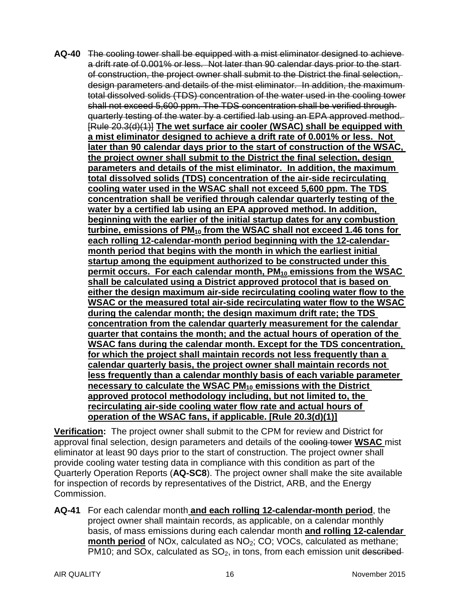**AQ-40** The cooling tower shall be equipped with a mist eliminator designed to achieve a drift rate of 0.001% or less. Not later than 90 calendar days prior to the start of construction, the project owner shall submit to the District the final selection, design parameters and details of the mist eliminator. In addition, the maximum total dissolved solids (TDS) concentration of the water used in the cooling tower shall not exceed 5,600 ppm. The TDS concentration shall be verified through quarterly testing of the water by a certified lab using an EPA approved method. [Rule 20.3(d)(1)] **The wet surface air cooler (WSAC) shall be equipped with a mist eliminator designed to achieve a drift rate of 0.001% or less. Not later than 90 calendar days prior to the start of construction of the WSAC, the project owner shall submit to the District the final selection, design parameters and details of the mist eliminator. In addition, the maximum total dissolved solids (TDS) concentration of the air-side recirculating cooling water used in the WSAC shall not exceed 5,600 ppm. The TDS concentration shall be verified through calendar quarterly testing of the water by a certified lab using an EPA approved method. In addition, beginning with the earlier of the initial startup dates for any combustion turbine, emissions of PM<sub>10</sub> from the WSAC shall not exceed 1.46 tons for each rolling 12-calendar-month period beginning with the 12-calendarmonth period that begins with the month in which the earliest initial startup among the equipment authorized to be constructed under this permit occurs. For each calendar month, PM10 emissions from the WSAC shall be calculated using a District approved protocol that is based on either the design maximum air-side recirculating cooling water flow to the WSAC or the measured total air-side recirculating water flow to the WSAC during the calendar month; the design maximum drift rate; the TDS concentration from the calendar quarterly measurement for the calendar quarter that contains the month; and the actual hours of operation of the WSAC fans during the calendar month. Except for the TDS concentration, for which the project shall maintain records not less frequently than a calendar quarterly basis, the project owner shall maintain records not less frequently than a calendar monthly basis of each variable parameter necessary to calculate the WSAC PM10 emissions with the District approved protocol methodology including, but not limited to, the recirculating air-side cooling water flow rate and actual hours of operation of the WSAC fans, if applicable. [Rule 20.3(d)(1)]**

**Verification:** The project owner shall submit to the CPM for review and District for approval final selection, design parameters and details of the cooling tower **WSAC** mist eliminator at least 90 days prior to the start of construction. The project owner shall provide cooling water testing data in compliance with this condition as part of the Quarterly Operation Reports (**AQ-SC8**). The project owner shall make the site available for inspection of records by representatives of the District, ARB, and the Energy Commission.

**AQ-41** For each calendar month **and each rolling 12-calendar-month period**, the project owner shall maintain records, as applicable, on a calendar monthly basis, of mass emissions during each calendar month **and rolling 12-calendar month period** of NOx, calculated as NO<sub>2</sub>; CO; VOCs, calculated as methane; PM10; and SOx, calculated as  $SO<sub>2</sub>$ , in tons, from each emission unit described-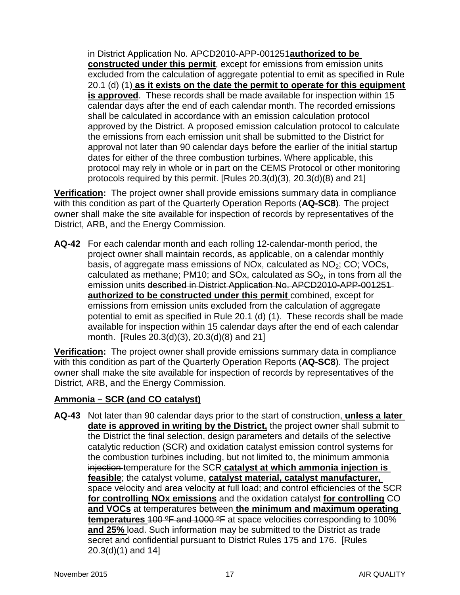in District Application No. APCD2010-APP-001251**authorized to be constructed under this permit**, except for emissions from emission units excluded from the calculation of aggregate potential to emit as specified in Rule 20.1 (d) (1) **as it exists on the date the permit to operate for this equipment is approved**. These records shall be made available for inspection within 15 calendar days after the end of each calendar month. The recorded emissions shall be calculated in accordance with an emission calculation protocol approved by the District. A proposed emission calculation protocol to calculate the emissions from each emission unit shall be submitted to the District for approval not later than 90 calendar days before the earlier of the initial startup dates for either of the three combustion turbines. Where applicable, this protocol may rely in whole or in part on the CEMS Protocol or other monitoring protocols required by this permit. [Rules 20.3(d)(3), 20.3(d)(8) and 21]

**Verification:** The project owner shall provide emissions summary data in compliance with this condition as part of the Quarterly Operation Reports (**AQ-SC8**). The project owner shall make the site available for inspection of records by representatives of the District, ARB, and the Energy Commission.

**AQ-42** For each calendar month and each rolling 12-calendar-month period, the project owner shall maintain records, as applicable, on a calendar monthly basis, of aggregate mass emissions of NOx, calculated as  $NO<sub>2</sub>$ ; CO; VOCs, calculated as methane; PM10; and SOx, calculated as  $SO<sub>2</sub>$ , in tons from all the emission units described in District Application No. APCD2010-APP-001251 **authorized to be constructed under this permit** combined, except for emissions from emission units excluded from the calculation of aggregate potential to emit as specified in Rule 20.1 (d) (1). These records shall be made available for inspection within 15 calendar days after the end of each calendar month. [Rules 20.3(d)(3), 20.3(d)(8) and 21]

**Verification:** The project owner shall provide emissions summary data in compliance with this condition as part of the Quarterly Operation Reports (**AQ-SC8**). The project owner shall make the site available for inspection of records by representatives of the District, ARB, and the Energy Commission.

#### **Ammonia – SCR (and CO catalyst)**

**AQ-43** Not later than 90 calendar days prior to the start of construction, **unless a later date is approved in writing by the District,** the project owner shall submit to the District the final selection, design parameters and details of the selective catalytic reduction (SCR) and oxidation catalyst emission control systems for the combustion turbines including, but not limited to, the minimum ammonia injection temperature for the SCR **catalyst at which ammonia injection is feasible**; the catalyst volume, **catalyst material, catalyst manufacturer,**  space velocity and area velocity at full load; and control efficiencies of the SCR **for controlling NOx emissions** and the oxidation catalyst **for controlling** CO **and VOCs** at temperatures between **the minimum and maximum operating temperatures** 100 ºF and 1000 ºF at space velocities corresponding to 100% **and 25%** load. Such information may be submitted to the District as trade secret and confidential pursuant to District Rules 175 and 176. [Rules 20.3(d)(1) and 14]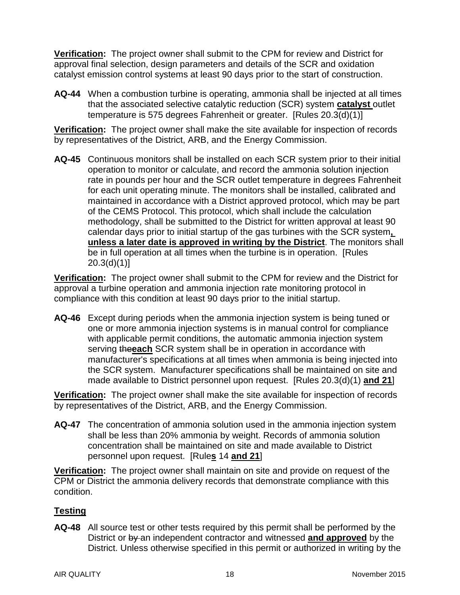**Verification:** The project owner shall submit to the CPM for review and District for approval final selection, design parameters and details of the SCR and oxidation catalyst emission control systems at least 90 days prior to the start of construction.

**AQ-44** When a combustion turbine is operating, ammonia shall be injected at all times that the associated selective catalytic reduction (SCR) system **catalyst** outlet temperature is 575 degrees Fahrenheit or greater. [Rules 20.3(d)(1)]

**Verification:** The project owner shall make the site available for inspection of records by representatives of the District, ARB, and the Energy Commission.

**AQ-45** Continuous monitors shall be installed on each SCR system prior to their initial operation to monitor or calculate, and record the ammonia solution injection rate in pounds per hour and the SCR outlet temperature in degrees Fahrenheit for each unit operating minute. The monitors shall be installed, calibrated and maintained in accordance with a District approved protocol, which may be part of the CEMS Protocol. This protocol, which shall include the calculation methodology, shall be submitted to the District for written approval at least 90 calendar days prior to initial startup of the gas turbines with the SCR system**, unless a later date is approved in writing by the District**. The monitors shall be in full operation at all times when the turbine is in operation. [Rules 20.3(d)(1)]

**Verification:** The project owner shall submit to the CPM for review and the District for approval a turbine operation and ammonia injection rate monitoring protocol in compliance with this condition at least 90 days prior to the initial startup.

**AQ-46** Except during periods when the ammonia injection system is being tuned or one or more ammonia injection systems is in manual control for compliance with applicable permit conditions, the automatic ammonia injection system serving the**each** SCR system shall be in operation in accordance with manufacturer's specifications at all times when ammonia is being injected into the SCR system. Manufacturer specifications shall be maintained on site and made available to District personnel upon request. [Rules 20.3(d)(1) **and 21**]

**Verification:** The project owner shall make the site available for inspection of records by representatives of the District, ARB, and the Energy Commission.

**AQ-47** The concentration of ammonia solution used in the ammonia injection system shall be less than 20% ammonia by weight. Records of ammonia solution concentration shall be maintained on site and made available to District personnel upon request. [Rule**s** 14 **and 21**]

**Verification:** The project owner shall maintain on site and provide on request of the CPM or District the ammonia delivery records that demonstrate compliance with this condition.

### **Testing**

**AQ-48** All source test or other tests required by this permit shall be performed by the District or by an independent contractor and witnessed **and approved** by the District. Unless otherwise specified in this permit or authorized in writing by the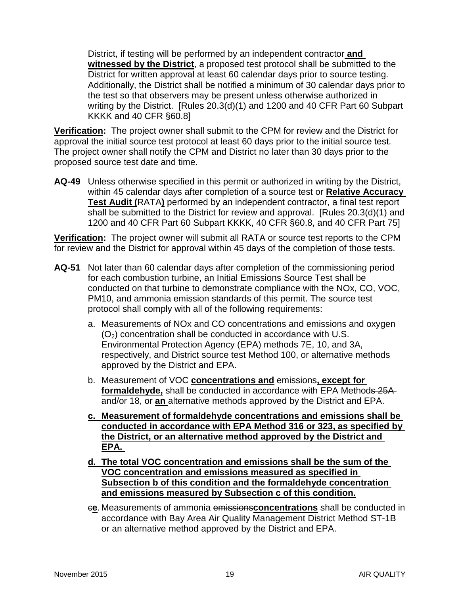District, if testing will be performed by an independent contractor **and witnessed by the District**, a proposed test protocol shall be submitted to the District for written approval at least 60 calendar days prior to source testing. Additionally, the District shall be notified a minimum of 30 calendar days prior to the test so that observers may be present unless otherwise authorized in writing by the District. [Rules 20.3(d)(1) and 1200 and 40 CFR Part 60 Subpart KKKK and 40 CFR §60.8]

**Verification:** The project owner shall submit to the CPM for review and the District for approval the initial source test protocol at least 60 days prior to the initial source test. The project owner shall notify the CPM and District no later than 30 days prior to the proposed source test date and time.

**AQ-49** Unless otherwise specified in this permit or authorized in writing by the District, within 45 calendar days after completion of a source test or **Relative Accuracy Test Audit (**RATA**)** performed by an independent contractor, a final test report shall be submitted to the District for review and approval. [Rules 20.3(d)(1) and 1200 and 40 CFR Part 60 Subpart KKKK, 40 CFR §60.8, and 40 CFR Part 75]

**Verification:** The project owner will submit all RATA or source test reports to the CPM for review and the District for approval within 45 days of the completion of those tests.

- **AQ-51** Not later than 60 calendar days after completion of the commissioning period for each combustion turbine, an Initial Emissions Source Test shall be conducted on that turbine to demonstrate compliance with the NOx, CO, VOC, PM10, and ammonia emission standards of this permit. The source test protocol shall comply with all of the following requirements:
	- a. Measurements of NOx and CO concentrations and emissions and oxygen  $(O<sub>2</sub>)$  concentration shall be conducted in accordance with U.S. Environmental Protection Agency (EPA) methods 7E, 10, and 3A, respectively, and District source test Method 100, or alternative methods approved by the District and EPA.
	- b. Measurement of VOC **concentrations and** emissions**, except for formaldehyde,** shall be conducted in accordance with EPA Methods 25A and/or 18, or **an** alternative methods approved by the District and EPA.
	- **c. Measurement of formaldehyde concentrations and emissions shall be conducted in accordance with EPA Method 316 or 323, as specified by the District, or an alternative method approved by the District and EPA.**
	- **d. The total VOC concentration and emissions shall be the sum of the VOC concentration and emissions measured as specified in Subsection b of this condition and the formaldehyde concentration and emissions measured by Subsection c of this condition.**
	- c**e**. Measurements of ammonia emissions**concentrations** shall be conducted in accordance with Bay Area Air Quality Management District Method ST-1B or an alternative method approved by the District and EPA.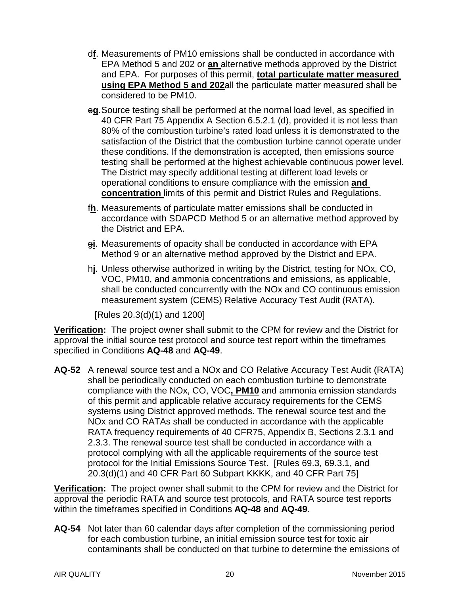- d**f**. Measurements of PM10 emissions shall be conducted in accordance with EPA Method 5 and 202 or **an** alternative methods approved by the District and EPA. For purposes of this permit, **total particulate matter measured using EPA Method 5 and 202**all the particulate matter measured shall be considered to be PM10.
- e**g**.Source testing shall be performed at the normal load level, as specified in 40 CFR Part 75 Appendix A Section 6.5.2.1 (d), provided it is not less than 80% of the combustion turbine's rated load unless it is demonstrated to the satisfaction of the District that the combustion turbine cannot operate under these conditions. If the demonstration is accepted, then emissions source testing shall be performed at the highest achievable continuous power level. The District may specify additional testing at different load levels or operational conditions to ensure compliance with the emission **and concentration** limits of this permit and District Rules and Regulations.
- f**h**. Measurements of particulate matter emissions shall be conducted in accordance with SDAPCD Method 5 or an alternative method approved by the District and EPA.
- g**i**. Measurements of opacity shall be conducted in accordance with EPA Method 9 or an alternative method approved by the District and EPA.
- h**j**. Unless otherwise authorized in writing by the District, testing for NOx, CO, VOC, PM10, and ammonia concentrations and emissions, as applicable, shall be conducted concurrently with the NOx and CO continuous emission measurement system (CEMS) Relative Accuracy Test Audit (RATA).

[Rules 20.3(d)(1) and 1200]

**Verification:** The project owner shall submit to the CPM for review and the District for approval the initial source test protocol and source test report within the timeframes specified in Conditions **AQ-48** and **AQ-49**.

**AQ-52** A renewal source test and a NOx and CO Relative Accuracy Test Audit (RATA) shall be periodically conducted on each combustion turbine to demonstrate compliance with the NOx, CO, VOC**, PM10** and ammonia emission standards of this permit and applicable relative accuracy requirements for the CEMS systems using District approved methods. The renewal source test and the NOx and CO RATAs shall be conducted in accordance with the applicable RATA frequency requirements of 40 CFR75, Appendix B, Sections 2.3.1 and 2.3.3. The renewal source test shall be conducted in accordance with a protocol complying with all the applicable requirements of the source test protocol for the Initial Emissions Source Test. [Rules 69.3, 69.3.1, and 20.3(d)(1) and 40 CFR Part 60 Subpart KKKK, and 40 CFR Part 75]

**Verification:** The project owner shall submit to the CPM for review and the District for approval the periodic RATA and source test protocols, and RATA source test reports within the timeframes specified in Conditions **AQ-48** and **AQ-49**.

**AQ-54** Not later than 60 calendar days after completion of the commissioning period for each combustion turbine, an initial emission source test for toxic air contaminants shall be conducted on that turbine to determine the emissions of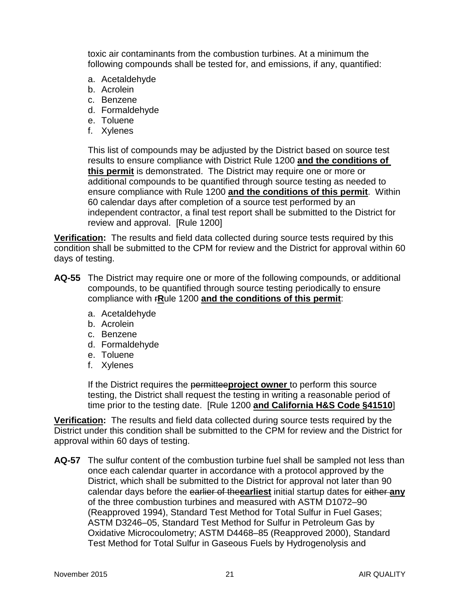toxic air contaminants from the combustion turbines. At a minimum the following compounds shall be tested for, and emissions, if any, quantified:

- a. Acetaldehyde
- b. Acrolein
- c. Benzene
- d. Formaldehyde
- e. Toluene
- f. Xylenes

This list of compounds may be adjusted by the District based on source test results to ensure compliance with District Rule 1200 **and the conditions of this permit** is demonstrated. The District may require one or more or additional compounds to be quantified through source testing as needed to ensure compliance with Rule 1200 **and the conditions of this permit**. Within 60 calendar days after completion of a source test performed by an independent contractor, a final test report shall be submitted to the District for review and approval. [Rule 1200]

**Verification:** The results and field data collected during source tests required by this condition shall be submitted to the CPM for review and the District for approval within 60 days of testing.

- **AQ-55** The District may require one or more of the following compounds, or additional compounds, to be quantified through source testing periodically to ensure compliance with r**R**ule 1200 **and the conditions of this permit**:
	- a. Acetaldehyde
	- b. Acrolein
	- c. Benzene
	- d. Formaldehyde
	- e. Toluene
	- f. Xylenes

If the District requires the permittee**project owner** to perform this source testing, the District shall request the testing in writing a reasonable period of time prior to the testing date. [Rule 1200 **and California H&S Code §41510**]

**Verification:** The results and field data collected during source tests required by the District under this condition shall be submitted to the CPM for review and the District for approval within 60 days of testing.

**AQ-57** The sulfur content of the combustion turbine fuel shall be sampled not less than once each calendar quarter in accordance with a protocol approved by the District, which shall be submitted to the District for approval not later than 90 calendar days before the earlier of the**earliest** initial startup dates for either **any** of the three combustion turbines and measured with ASTM D1072–90 (Reapproved 1994), Standard Test Method for Total Sulfur in Fuel Gases; ASTM D3246–05, Standard Test Method for Sulfur in Petroleum Gas by Oxidative Microcoulometry; ASTM D4468–85 (Reapproved 2000), Standard Test Method for Total Sulfur in Gaseous Fuels by Hydrogenolysis and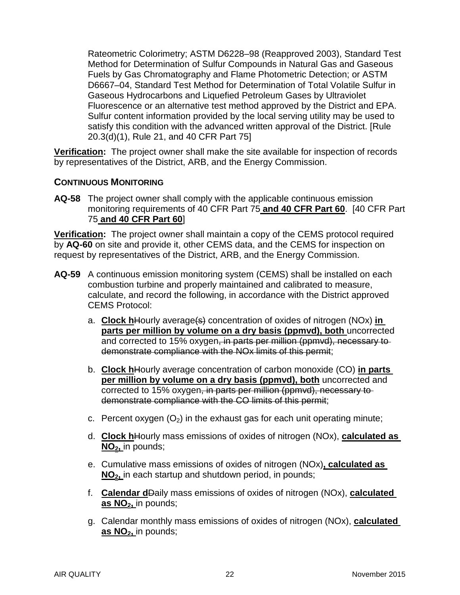Rateometric Colorimetry; ASTM D6228–98 (Reapproved 2003), Standard Test Method for Determination of Sulfur Compounds in Natural Gas and Gaseous Fuels by Gas Chromatography and Flame Photometric Detection; or ASTM D6667–04, Standard Test Method for Determination of Total Volatile Sulfur in Gaseous Hydrocarbons and Liquefied Petroleum Gases by Ultraviolet Fluorescence or an alternative test method approved by the District and EPA. Sulfur content information provided by the local serving utility may be used to satisfy this condition with the advanced written approval of the District. [Rule 20.3(d)(1), Rule 21, and 40 CFR Part 75]

**Verification:** The project owner shall make the site available for inspection of records by representatives of the District, ARB, and the Energy Commission.

#### **CONTINUOUS MONITORING**

**AQ-58** The project owner shall comply with the applicable continuous emission monitoring requirements of 40 CFR Part 75 **and 40 CFR Part 60**. [40 CFR Part 75 **and 40 CFR Part 60**]

**Verification:** The project owner shall maintain a copy of the CEMS protocol required by **AQ-60** on site and provide it, other CEMS data, and the CEMS for inspection on request by representatives of the District, ARB, and the Energy Commission.

- **AQ-59** A continuous emission monitoring system (CEMS) shall be installed on each combustion turbine and properly maintained and calibrated to measure, calculate, and record the following, in accordance with the District approved CEMS Protocol:
	- a. **Clock h**Hourly average(s) concentration of oxides of nitrogen (NOx) **in parts per million by volume on a dry basis (ppmvd), both** uncorrected and corrected to 15% oxygen, in parts per million (ppmvd), necessary to demonstrate compliance with the NOx limits of this permit;
	- b. **Clock h**Hourly average concentration of carbon monoxide (CO) **in parts per million by volume on a dry basis (ppmvd), both** uncorrected and corrected to 15% oxygen, in parts per million (ppmvd), necessary to demonstrate compliance with the CO limits of this permit;
	- c. Percent oxygen  $(O_2)$  in the exhaust gas for each unit operating minute;
	- d. **Clock h**Hourly mass emissions of oxides of nitrogen (NOx), **calculated as NO2,** in pounds;
	- e. Cumulative mass emissions of oxides of nitrogen (NOx)**, calculated as NO2,** in each startup and shutdown period, in pounds;
	- f. **Calendar d**Daily mass emissions of oxides of nitrogen (NOx), **calculated**  as NO<sub>2</sub>, in pounds;
	- g. Calendar monthly mass emissions of oxides of nitrogen (NOx), **calculated**  as NO<sub>2</sub>, in pounds;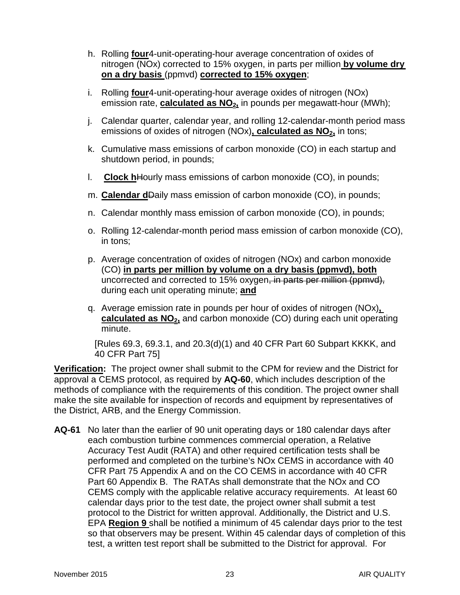- h. Rolling **four**4-unit-operating-hour average concentration of oxides of nitrogen (NOx) corrected to 15% oxygen, in parts per million **by volume dry on a dry basis** (ppmvd) **corrected to 15% oxygen**;
- i. Rolling **four**4-unit-operating-hour average oxides of nitrogen (NOx) emission rate, **calculated as NO<sub>2</sub>**, in pounds per megawatt-hour (MWh);
- j. Calendar quarter, calendar year, and rolling 12-calendar-month period mass emissions of oxides of nitrogen (NOx), **calculated as NO<sub>2</sub>**, in tons;
- k. Cumulative mass emissions of carbon monoxide (CO) in each startup and shutdown period, in pounds;
- l. **Clock h**Hourly mass emissions of carbon monoxide (CO), in pounds;
- m. **Calendar d**Daily mass emission of carbon monoxide (CO), in pounds;
- n. Calendar monthly mass emission of carbon monoxide (CO), in pounds;
- o. Rolling 12-calendar-month period mass emission of carbon monoxide (CO), in tons;
- p. Average concentration of oxides of nitrogen (NOx) and carbon monoxide (CO) **in parts per million by volume on a dry basis (ppmvd), both** uncorrected and corrected to 15% oxygen, in parts per million (ppmvd), during each unit operating minute; **and**
- q. Average emission rate in pounds per hour of oxides of nitrogen (NOx)**, calculated as NO<sub>2</sub>, and carbon monoxide (CO) during each unit operating** minute.

[Rules 69.3, 69.3.1, and 20.3(d)(1) and 40 CFR Part 60 Subpart KKKK, and 40 CFR Part 75]

**Verification:** The project owner shall submit to the CPM for review and the District for approval a CEMS protocol, as required by **AQ-60**, which includes description of the methods of compliance with the requirements of this condition. The project owner shall make the site available for inspection of records and equipment by representatives of the District, ARB, and the Energy Commission.

**AQ-61** No later than the earlier of 90 unit operating days or 180 calendar days after each combustion turbine commences commercial operation, a Relative Accuracy Test Audit (RATA) and other required certification tests shall be performed and completed on the turbine's NOx CEMS in accordance with 40 CFR Part 75 Appendix A and on the CO CEMS in accordance with 40 CFR Part 60 Appendix B. The RATAs shall demonstrate that the NOx and CO CEMS comply with the applicable relative accuracy requirements. At least 60 calendar days prior to the test date, the project owner shall submit a test protocol to the District for written approval. Additionally, the District and U.S. EPA **Region 9** shall be notified a minimum of 45 calendar days prior to the test so that observers may be present. Within 45 calendar days of completion of this test, a written test report shall be submitted to the District for approval. For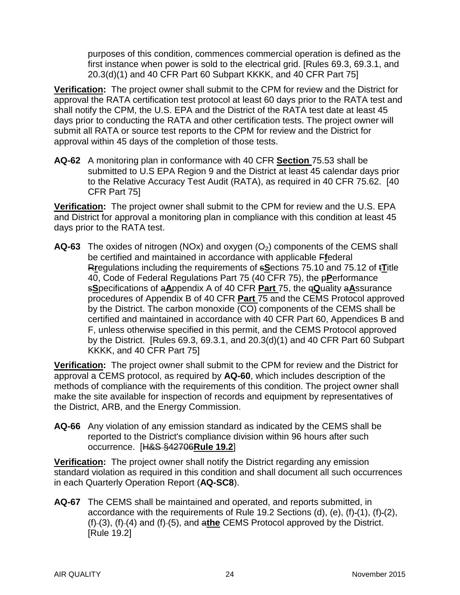purposes of this condition, commences commercial operation is defined as the first instance when power is sold to the electrical grid. [Rules 69.3, 69.3.1, and 20.3(d)(1) and 40 CFR Part 60 Subpart KKKK, and 40 CFR Part 75]

**Verification:** The project owner shall submit to the CPM for review and the District for approval the RATA certification test protocol at least 60 days prior to the RATA test and shall notify the CPM, the U.S. EPA and the District of the RATA test date at least 45 days prior to conducting the RATA and other certification tests. The project owner will submit all RATA or source test reports to the CPM for review and the District for approval within 45 days of the completion of those tests.

**AQ-62** A monitoring plan in conformance with 40 CFR **Section** 75.53 shall be submitted to U.S EPA Region 9 and the District at least 45 calendar days prior to the Relative Accuracy Test Audit (RATA), as required in 40 CFR 75.62. [40 CFR Part 75]

**Verification:** The project owner shall submit to the CPM for review and the U.S. EPA and District for approval a monitoring plan in compliance with this condition at least 45 days prior to the RATA test.

**AQ-63** The oxides of nitrogen (NOx) and oxygen (O<sub>2</sub>) components of the CEMS shall be certified and maintained in accordance with applicable F**f**ederal R**r**egulations including the requirements of s**S**ections 75.10 and 75.12 of t**T**itle 40, Code of Federal Regulations Part 75 (40 CFR 75), the p**P**erformance s**S**pecifications of a**A**ppendix A of 40 CFR **Part** 75, the q**Q**uality a**A**ssurance procedures of Appendix B of 40 CFR **Part** 75 and the CEMS Protocol approved by the District. The carbon monoxide (CO) components of the CEMS shall be certified and maintained in accordance with 40 CFR Part 60, Appendices B and F, unless otherwise specified in this permit, and the CEMS Protocol approved by the District. [Rules 69.3, 69.3.1, and 20.3(d)(1) and 40 CFR Part 60 Subpart KKKK, and 40 CFR Part 75]

**Verification:** The project owner shall submit to the CPM for review and the District for approval a CEMS protocol, as required by **AQ-60**, which includes description of the methods of compliance with the requirements of this condition. The project owner shall make the site available for inspection of records and equipment by representatives of the District, ARB, and the Energy Commission.

**AQ-66** Any violation of any emission standard as indicated by the CEMS shall be reported to the District's compliance division within 96 hours after such occurrence. [H&S §42706**Rule 19.2**]

**Verification:** The project owner shall notify the District regarding any emission standard violation as required in this condition and shall document all such occurrences in each Quarterly Operation Report (**AQ-SC8**).

**AQ-67** The CEMS shall be maintained and operated, and reports submitted, in accordance with the requirements of Rule 19.2 Sections (d), (e), (f)-(1), (f)-(2), (f) (3), (f) (4) and (f) (5), and a**the** CEMS Protocol approved by the District. [Rule 19.2]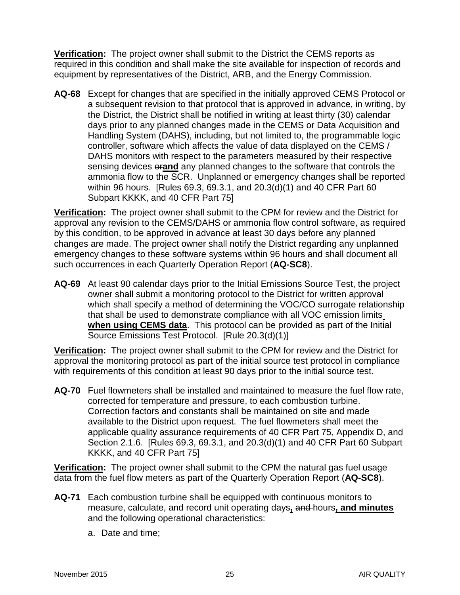**Verification:** The project owner shall submit to the District the CEMS reports as required in this condition and shall make the site available for inspection of records and equipment by representatives of the District, ARB, and the Energy Commission.

**AQ-68** Except for changes that are specified in the initially approved CEMS Protocol or a subsequent revision to that protocol that is approved in advance, in writing, by the District, the District shall be notified in writing at least thirty (30) calendar days prior to any planned changes made in the CEMS or Data Acquisition and Handling System (DAHS), including, but not limited to, the programmable logic controller, software which affects the value of data displayed on the CEMS / DAHS monitors with respect to the parameters measured by their respective sensing devices or**and** any planned changes to the software that controls the ammonia flow to the SCR. Unplanned or emergency changes shall be reported within 96 hours. [Rules 69.3, 69.3.1, and 20.3(d)(1) and 40 CFR Part 60 Subpart KKKK, and 40 CFR Part 75]

**Verification:** The project owner shall submit to the CPM for review and the District for approval any revision to the CEMS/DAHS or ammonia flow control software, as required by this condition, to be approved in advance at least 30 days before any planned changes are made. The project owner shall notify the District regarding any unplanned emergency changes to these software systems within 96 hours and shall document all such occurrences in each Quarterly Operation Report (**AQ-SC8**).

**AQ-69** At least 90 calendar days prior to the Initial Emissions Source Test, the project owner shall submit a monitoring protocol to the District for written approval which shall specify a method of determining the VOC/CO surrogate relationship that shall be used to demonstrate compliance with all VOC emission-limits **when using CEMS data**. This protocol can be provided as part of the Initial Source Emissions Test Protocol. [Rule 20.3(d)(1)]

**Verification:** The project owner shall submit to the CPM for review and the District for approval the monitoring protocol as part of the initial source test protocol in compliance with requirements of this condition at least 90 days prior to the initial source test.

**AQ-70** Fuel flowmeters shall be installed and maintained to measure the fuel flow rate, corrected for temperature and pressure, to each combustion turbine. Correction factors and constants shall be maintained on site and made available to the District upon request. The fuel flowmeters shall meet the applicable quality assurance requirements of 40 CFR Part 75, Appendix D, and Section 2.1.6. [Rules 69.3, 69.3.1, and 20.3(d)(1) and 40 CFR Part 60 Subpart KKKK, and 40 CFR Part 75]

**Verification:** The project owner shall submit to the CPM the natural gas fuel usage data from the fuel flow meters as part of the Quarterly Operation Report (**AQ-SC8**).

- **AQ-71** Each combustion turbine shall be equipped with continuous monitors to measure, calculate, and record unit operating days**,** and hours**, and minutes** and the following operational characteristics:
	- a. Date and time;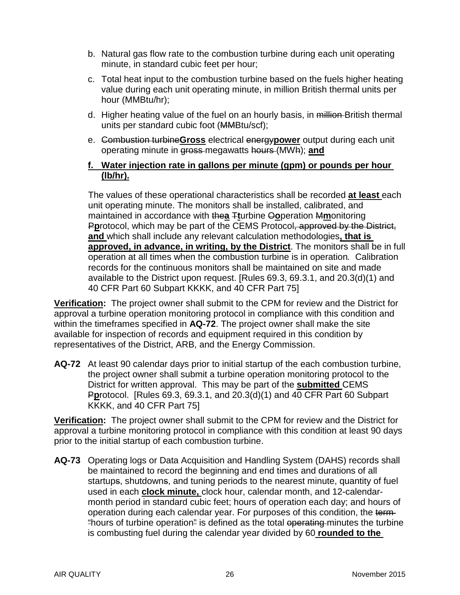- b. Natural gas flow rate to the combustion turbine during each unit operating minute, in standard cubic feet per hour;
- c. Total heat input to the combustion turbine based on the fuels higher heating value during each unit operating minute, in million British thermal units per hour (MMBtu/hr);
- d. Higher heating value of the fuel on an hourly basis, in million-British thermal units per standard cubic foot (MMBtu/scf);
- e. Combustion turbine**Gross** electrical energy**power** output during each unit operating minute in gross megawatts hours (MWh); **and**

#### **f. Water injection rate in gallons per minute (gpm) or pounds per hour (lb/hr).**

The values of these operational characteristics shall be recorded **at least** each unit operating minute. The monitors shall be installed, calibrated, and maintained in accordance with the**a** T**t**urbine O**o**peration M**m**onitoring Pprotocol, which may be part of the CEMS Protocol, approved by the District, **and** which shall include any relevant calculation methodologies**, that is approved, in advance, in writing, by the District**. The monitors shall be in full operation at all times when the combustion turbine is in operation*.* Calibration records for the continuous monitors shall be maintained on site and made available to the District upon request. [Rules 69.3, 69.3.1, and 20.3(d)(1) and 40 CFR Part 60 Subpart KKKK, and 40 CFR Part 75]

**Verification:** The project owner shall submit to the CPM for review and the District for approval a turbine operation monitoring protocol in compliance with this condition and within the timeframes specified in **AQ-72**. The project owner shall make the site available for inspection of records and equipment required in this condition by representatives of the District, ARB, and the Energy Commission.

**AQ-72** At least 90 calendar days prior to initial startup of the each combustion turbine, the project owner shall submit a turbine operation monitoring protocol to the District for written approval. This may be part of the **submitted** CEMS P**p**rotocol. [Rules 69.3, 69.3.1, and 20.3(d)(1) and 40 CFR Part 60 Subpart KKKK, and 40 CFR Part 75]

**Verification:** The project owner shall submit to the CPM for review and the District for approval a turbine monitoring protocol in compliance with this condition at least 90 days prior to the initial startup of each combustion turbine.

**AQ-73** Operating logs or Data Acquisition and Handling System (DAHS) records shall be maintained to record the beginning and end times and durations of all startups, shutdowns, and tuning periods to the nearest minute, quantity of fuel used in each **clock minute,** clock hour, calendar month, and 12-calendarmonth period in standard cubic feet; hours of operation each day; and hours of operation during each calendar year. For purposes of this condition, the term "hours of turbine operation" is defined as the total operating minutes the turbine is combusting fuel during the calendar year divided by 60 **rounded to the**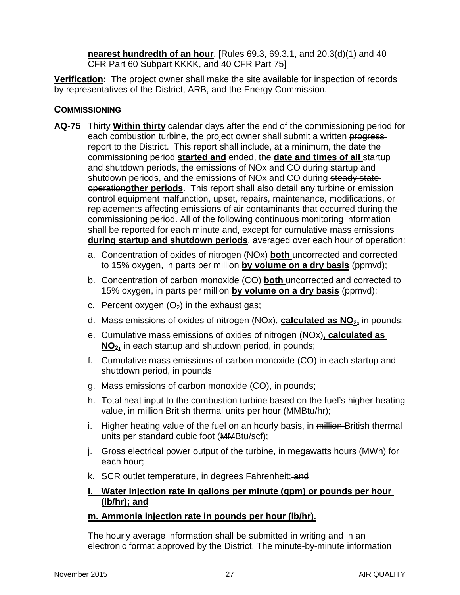**nearest hundredth of an hour**. [Rules 69.3, 69.3.1, and 20.3(d)(1) and 40 CFR Part 60 Subpart KKKK, and 40 CFR Part 75]

**Verification:** The project owner shall make the site available for inspection of records by representatives of the District, ARB, and the Energy Commission.

### **COMMISSIONING**

- **AQ-75** Thirty **Within thirty** calendar days after the end of the commissioning period for each combustion turbine, the project owner shall submit a written progressreport to the District. This report shall include, at a minimum, the date the commissioning period **started and** ended, the **date and times of all** startup and shutdown periods, the emissions of NOx and CO during startup and shutdown periods, and the emissions of NO<sub>x</sub> and CO during steady state operation**other periods**. This report shall also detail any turbine or emission control equipment malfunction, upset, repairs, maintenance, modifications, or replacements affecting emissions of air contaminants that occurred during the commissioning period. All of the following continuous monitoring information shall be reported for each minute and, except for cumulative mass emissions **during startup and shutdown periods**, averaged over each hour of operation:
	- a. Concentration of oxides of nitrogen (NOx) **both** uncorrected and corrected to 15% oxygen, in parts per million **by volume on a dry basis** (ppmvd);
	- b. Concentration of carbon monoxide (CO) **both** uncorrected and corrected to 15% oxygen, in parts per million **by volume on a dry basis** (ppmvd);
	- c. Percent oxygen  $(O_2)$  in the exhaust gas;
	- d. Mass emissions of oxides of nitrogen (NOx), **calculated as NO<sub>2</sub>**, in pounds;
	- e. Cumulative mass emissions of oxides of nitrogen (NOx)**, calculated as NO2,** in each startup and shutdown period, in pounds;
	- f. Cumulative mass emissions of carbon monoxide (CO) in each startup and shutdown period, in pounds
	- g. Mass emissions of carbon monoxide (CO), in pounds;
	- h. Total heat input to the combustion turbine based on the fuel's higher heating value, in million British thermal units per hour (MMBtu/hr);
	- i. Higher heating value of the fuel on an hourly basis, in million-British thermal units per standard cubic foot (MMBtu/scf);
	- j. Gross electrical power output of the turbine, in megawatts hours (MWh) for each hour;
	- k. SCR outlet temperature, in degrees Fahrenheit; and

### **l. Water injection rate in gallons per minute (gpm) or pounds per hour (lb/hr); and**

### **m. Ammonia injection rate in pounds per hour (lb/hr).**

The hourly average information shall be submitted in writing and in an electronic format approved by the District. The minute-by-minute information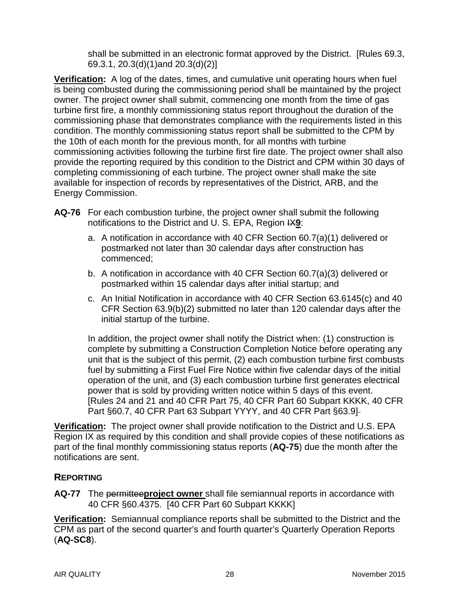shall be submitted in an electronic format approved by the District. [Rules 69.3, 69.3.1, 20.3(d)(1)and 20.3(d)(2)]

**Verification:** A log of the dates, times, and cumulative unit operating hours when fuel is being combusted during the commissioning period shall be maintained by the project owner. The project owner shall submit, commencing one month from the time of gas turbine first fire, a monthly commissioning status report throughout the duration of the commissioning phase that demonstrates compliance with the requirements listed in this condition. The monthly commissioning status report shall be submitted to the CPM by the 10th of each month for the previous month, for all months with turbine commissioning activities following the turbine first fire date. The project owner shall also provide the reporting required by this condition to the District and CPM within 30 days of completing commissioning of each turbine. The project owner shall make the site available for inspection of records by representatives of the District, ARB, and the Energy Commission.

- **AQ-76** For each combustion turbine, the project owner shall submit the following notifications to the District and U. S. EPA, Region IX**9**:
	- a. A notification in accordance with 40 CFR Section 60.7(a)(1) delivered or postmarked not later than 30 calendar days after construction has commenced;
	- b. A notification in accordance with 40 CFR Section 60.7(a)(3) delivered or postmarked within 15 calendar days after initial startup; and
	- c. An Initial Notification in accordance with 40 CFR Section 63.6145(c) and 40 CFR Section 63.9(b)(2) submitted no later than 120 calendar days after the initial startup of the turbine.

In addition, the project owner shall notify the District when: (1) construction is complete by submitting a Construction Completion Notice before operating any unit that is the subject of this permit, (2) each combustion turbine first combusts fuel by submitting a First Fuel Fire Notice within five calendar days of the initial operation of the unit, and (3) each combustion turbine first generates electrical power that is sold by providing written notice within 5 days of this event. [Rules 24 and 21 and 40 CFR Part 75, 40 CFR Part 60 Subpart KKKK, 40 CFR Part §60.7, 40 CFR Part 63 Subpart YYYY, and 40 CFR Part §63.9]

**Verification:** The project owner shall provide notification to the District and U.S. EPA Region IX as required by this condition and shall provide copies of these notifications as part of the final monthly commissioning status reports (**AQ-75**) due the month after the notifications are sent.

### **REPORTING**

**AQ-77** The permittee**project owner** shall file semiannual reports in accordance with 40 CFR §60.4375. [40 CFR Part 60 Subpart KKKK]

**Verification:** Semiannual compliance reports shall be submitted to the District and the CPM as part of the second quarter's and fourth quarter's Quarterly Operation Reports (**AQ-SC8**).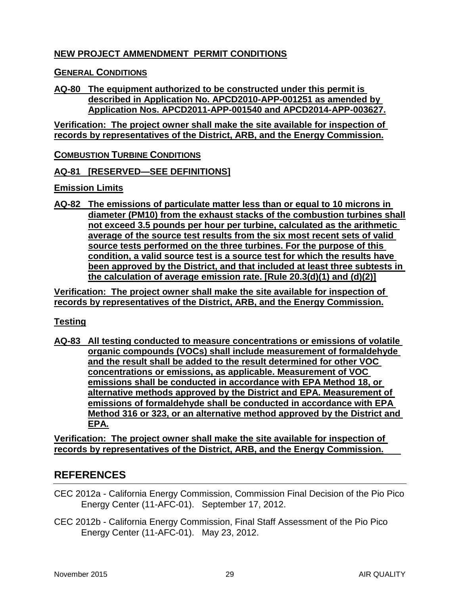### **NEW PROJECT AMMENDMENT PERMIT CONDITIONS**

#### **GENERAL CONDITIONS**

#### **AQ-80 The equipment authorized to be constructed under this permit is described in Application No. APCD2010-APP-001251 as amended by Application Nos. APCD2011-APP-001540 and APCD2014-APP-003627.**

**Verification: The project owner shall make the site available for inspection of records by representatives of the District, ARB, and the Energy Commission.**

**COMBUSTION TURBINE CONDITIONS**

**AQ-81 [RESERVED—SEE DEFINITIONS]**

#### **Emission Limits**

**AQ-82 The emissions of particulate matter less than or equal to 10 microns in diameter (PM10) from the exhaust stacks of the combustion turbines shall not exceed 3.5 pounds per hour per turbine, calculated as the arithmetic average of the source test results from the six most recent sets of valid source tests performed on the three turbines. For the purpose of this condition, a valid source test is a source test for which the results have been approved by the District, and that included at least three subtests in the calculation of average emission rate. [Rule 20.3(d)(1) and (d)(2)]**

**Verification: The project owner shall make the site available for inspection of records by representatives of the District, ARB, and the Energy Commission.**

#### **Testing**

**AQ-83 All testing conducted to measure concentrations or emissions of volatile organic compounds (VOCs) shall include measurement of formaldehyde and the result shall be added to the result determined for other VOC concentrations or emissions, as applicable. Measurement of VOC emissions shall be conducted in accordance with EPA Method 18, or alternative methods approved by the District and EPA. Measurement of emissions of formaldehyde shall be conducted in accordance with EPA Method 316 or 323, or an alternative method approved by the District and EPA.**

**Verification: The project owner shall make the site available for inspection of records by representatives of the District, ARB, and the Energy Commission.**

### **REFERENCES**

- CEC 2012a California Energy Commission, Commission Final Decision of the Pio Pico Energy Center (11-AFC-01). September 17, 2012.
- CEC 2012b California Energy Commission, Final Staff Assessment of the Pio Pico Energy Center (11-AFC-01). May 23, 2012.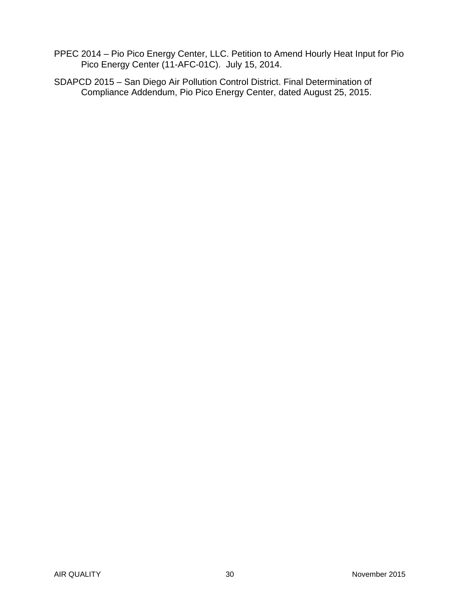- PPEC 2014 Pio Pico Energy Center, LLC. Petition to Amend Hourly Heat Input for Pio Pico Energy Center (11-AFC-01C). July 15, 2014.
- SDAPCD 2015 San Diego Air Pollution Control District. Final Determination of Compliance Addendum, Pio Pico Energy Center, dated August 25, 2015.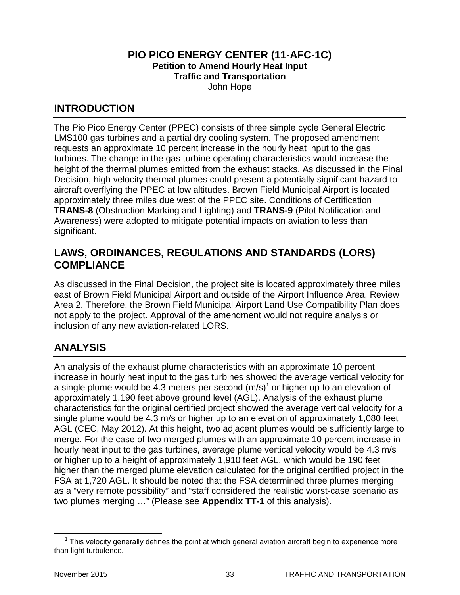#### **PIO PICO ENERGY CENTER (11-AFC-1C) Petition to Amend Hourly Heat Input Traffic and Transportation** John Hope

### **INTRODUCTION**

The Pio Pico Energy Center (PPEC) consists of three simple cycle General Electric LMS100 gas turbines and a partial dry cooling system. The proposed amendment requests an approximate 10 percent increase in the hourly heat input to the gas turbines. The change in the gas turbine operating characteristics would increase the height of the thermal plumes emitted from the exhaust stacks. As discussed in the Final Decision, high velocity thermal plumes could present a potentially significant hazard to aircraft overflying the PPEC at low altitudes. Brown Field Municipal Airport is located approximately three miles due west of the PPEC site. Conditions of Certification **TRANS-8** (Obstruction Marking and Lighting) and **TRANS-9** (Pilot Notification and Awareness) were adopted to mitigate potential impacts on aviation to less than significant.

### **LAWS, ORDINANCES, REGULATIONS AND STANDARDS (LORS) COMPLIANCE**

As discussed in the Final Decision, the project site is located approximately three miles east of Brown Field Municipal Airport and outside of the Airport Influence Area, Review Area 2. Therefore, the Brown Field Municipal Airport Land Use Compatibility Plan does not apply to the project. Approval of the amendment would not require analysis or inclusion of any new aviation-related LORS.

# **ANALYSIS**

An analysis of the exhaust plume characteristics with an approximate 10 percent increase in hourly heat input to the gas turbines showed the average vertical velocity for a single plume would be 4.3 meters per second  $(m/s)^1$  $(m/s)^1$  or higher up to an elevation of approximately 1,190 feet above ground level (AGL). Analysis of the exhaust plume characteristics for the original certified project showed the average vertical velocity for a single plume would be 4.3 m/s or higher up to an elevation of approximately 1,080 feet AGL (CEC, May 2012). At this height, two adjacent plumes would be sufficiently large to merge. For the case of two merged plumes with an approximate 10 percent increase in hourly heat input to the gas turbines, average plume vertical velocity would be 4.3 m/s or higher up to a height of approximately 1,910 feet AGL, which would be 190 feet higher than the merged plume elevation calculated for the original certified project in the FSA at 1,720 AGL. It should be noted that the FSA determined three plumes merging as a "very remote possibility" and "staff considered the realistic worst-case scenario as two plumes merging …" (Please see **Appendix TT-1** of this analysis).

<span id="page-33-0"></span> $1$  This velocity generally defines the point at which general aviation aircraft begin to experience more than light turbulence.  $\overline{a}$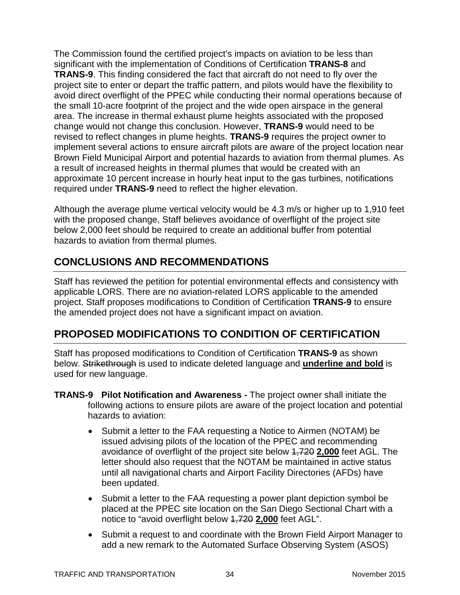The Commission found the certified project's impacts on aviation to be less than significant with the implementation of Conditions of Certification **TRANS-8** and **TRANS-9**. This finding considered the fact that aircraft do not need to fly over the project site to enter or depart the traffic pattern, and pilots would have the flexibility to avoid direct overflight of the PPEC while conducting their normal operations because of the small 10-acre footprint of the project and the wide open airspace in the general area. The increase in thermal exhaust plume heights associated with the proposed change would not change this conclusion. However, **TRANS-9** would need to be revised to reflect changes in plume heights. **TRANS-9** requires the project owner to implement several actions to ensure aircraft pilots are aware of the project location near Brown Field Municipal Airport and potential hazards to aviation from thermal plumes. As a result of increased heights in thermal plumes that would be created with an approximate 10 percent increase in hourly heat input to the gas turbines, notifications required under **TRANS-9** need to reflect the higher elevation.

Although the average plume vertical velocity would be 4.3 m/s or higher up to 1,910 feet with the proposed change, Staff believes avoidance of overflight of the project site below 2,000 feet should be required to create an additional buffer from potential hazards to aviation from thermal plumes.

### **CONCLUSIONS AND RECOMMENDATIONS**

Staff has reviewed the petition for potential environmental effects and consistency with applicable LORS. There are no aviation-related LORS applicable to the amended project. Staff proposes modifications to Condition of Certification **TRANS-9** to ensure the amended project does not have a significant impact on aviation.

# **PROPOSED MODIFICATIONS TO CONDITION OF CERTIFICATION**

Staff has proposed modifications to Condition of Certification **TRANS-9** as shown below. Strikethrough is used to indicate deleted language and **underline and bold** is used for new language.

- **TRANS-9 Pilot Notification and Awareness -** The project owner shall initiate the following actions to ensure pilots are aware of the project location and potential hazards to aviation:
	- Submit a letter to the FAA requesting a Notice to Airmen (NOTAM) be issued advising pilots of the location of the PPEC and recommending avoidance of overflight of the project site below 1,720 **2,000** feet AGL. The letter should also request that the NOTAM be maintained in active status until all navigational charts and Airport Facility Directories (AFDs) have been updated.
	- Submit a letter to the FAA requesting a power plant depiction symbol be placed at the PPEC site location on the San Diego Sectional Chart with a notice to "avoid overflight below 1,720 **2,000** feet AGL".
	- Submit a request to and coordinate with the Brown Field Airport Manager to add a new remark to the Automated Surface Observing System (ASOS)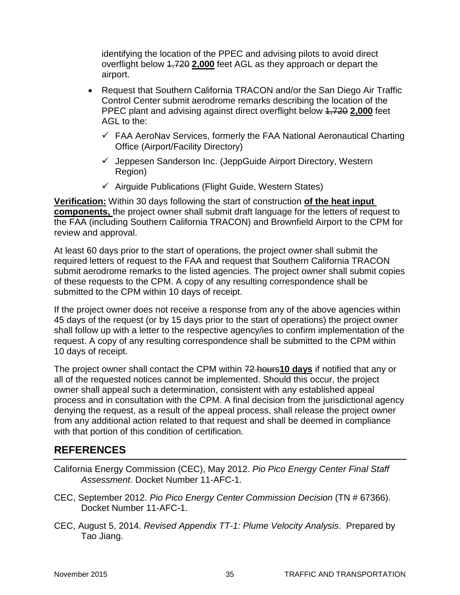identifying the location of the PPEC and advising pilots to avoid direct overflight below 1,720 **2,000** feet AGL as they approach or depart the airport.

- Request that Southern California TRACON and/or the San Diego Air Traffic Control Center submit aerodrome remarks describing the location of the PPEC plant and advising against direct overflight below 1,720 **2,000** feet AGL to the:
	- $\checkmark$  FAA AeroNav Services, formerly the FAA National Aeronautical Charting Office (Airport/Facility Directory)
	- $\checkmark$  Jeppesen Sanderson Inc. (JeppGuide Airport Directory, Western Region)
	- $\checkmark$  Airguide Publications (Flight Guide, Western States)

**Verification:** Within 30 days following the start of construction **of the heat input components,** the project owner shall submit draft language for the letters of request to the FAA (including Southern California TRACON) and Brownfield Airport to the CPM for review and approval.

At least 60 days prior to the start of operations, the project owner shall submit the required letters of request to the FAA and request that Southern California TRACON submit aerodrome remarks to the listed agencies. The project owner shall submit copies of these requests to the CPM. A copy of any resulting correspondence shall be submitted to the CPM within 10 days of receipt.

If the project owner does not receive a response from any of the above agencies within 45 days of the request (or by 15 days prior to the start of operations) the project owner shall follow up with a letter to the respective agency/ies to confirm implementation of the request. A copy of any resulting correspondence shall be submitted to the CPM within 10 days of receipt.

The project owner shall contact the CPM within 72 hours**10 days** if notified that any or all of the requested notices cannot be implemented. Should this occur, the project owner shall appeal such a determination, consistent with any established appeal process and in consultation with the CPM. A final decision from the jurisdictional agency denying the request, as a result of the appeal process, shall release the project owner from any additional action related to that request and shall be deemed in compliance with that portion of this condition of certification.

# **REFERENCES**

- California Energy Commission (CEC), May 2012. *Pio Pico Energy Center Final Staff Assessment*. Docket Number 11-AFC-1.
- CEC, September 2012. *Pio Pico Energy Center Commission Decision* (TN # 67366). Docket Number 11-AFC-1.
- CEC, August 5, 2014. *Revised Appendix TT-1: Plume Velocity Analysis*. Prepared by Tao Jiang.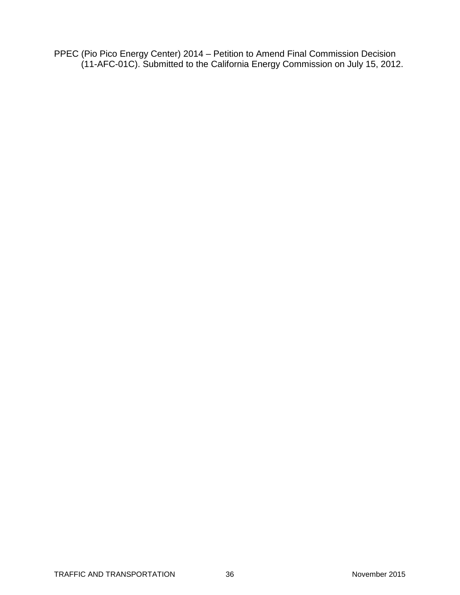PPEC (Pio Pico Energy Center) 2014 – Petition to Amend Final Commission Decision (11-AFC-01C). Submitted to the California Energy Commission on July 15, 2012.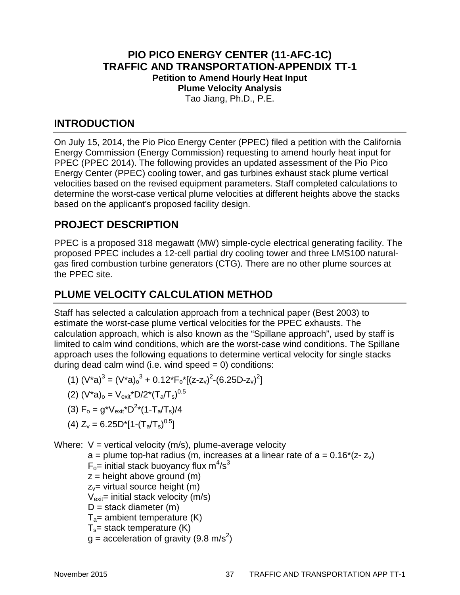### **PIO PICO ENERGY CENTER (11-AFC-1C) TRAFFIC AND TRANSPORTATION-APPENDIX TT-1 Petition to Amend Hourly Heat Input Plume Velocity Analysis** Tao Jiang, Ph.D., P.E.

### **INTRODUCTION**

On July 15, 2014, the Pio Pico Energy Center (PPEC) filed a petition with the California Energy Commission (Energy Commission) requesting to amend hourly heat input for PPEC (PPEC 2014). The following provides an updated assessment of the Pio Pico Energy Center (PPEC) cooling tower, and gas turbines exhaust stack plume vertical velocities based on the revised equipment parameters. Staff completed calculations to determine the worst-case vertical plume velocities at different heights above the stacks based on the applicant's proposed facility design.

### **PROJECT DESCRIPTION**

PPEC is a proposed 318 megawatt (MW) simple-cycle electrical generating facility. The proposed PPEC includes a 12-cell partial dry cooling tower and three LMS100 naturalgas fired combustion turbine generators (CTG). There are no other plume sources at the PPEC site.

## **PLUME VELOCITY CALCULATION METHOD**

Staff has selected a calculation approach from a technical paper (Best 2003) to estimate the worst-case plume vertical velocities for the PPEC exhausts. The calculation approach, which is also known as the "Spillane approach", used by staff is limited to calm wind conditions, which are the worst-case wind conditions. The Spillane approach uses the following equations to determine vertical velocity for single stacks during dead calm wind (i.e. wind speed  $= 0$ ) conditions:

- (1)  $(V^*a)^3 = (V^*a)_o^3 + 0.12^*F_o^*[(z-z_v)^2-(6.25D-z_v)^2]$
- (2)  $(V^*a)_{o} = V_{exit}^*D/2^*(T_a/T_s)^{0.5}$
- (3)  $F_o = g^*V_{exit}^*D^{2*}(1-T_a/T_s)/4$
- (4)  $Z_v = 6.25D^*[1-(T_a/T_s)^{0.5}]$

Where:  $V =$  vertical velocity (m/s), plume-average velocity

 $a =$  plume top-hat radius (m, increases at a linear rate of  $a = 0.16^{*}(z-z_{v})$ )

- $F_o$ = initial stack buoyancy flux m<sup>4</sup>/s<sup>3</sup>
- $z =$  height above ground (m)
- $z_y$ = virtual source height (m)

 $V_{\text{exit}}$ = initial stack velocity (m/s)

- $D =$  stack diameter  $(m)$
- $T_a$ = ambient temperature (K)
- $T_s$ = stack temperature (K)
- $g =$  acceleration of gravity (9.8 m/s<sup>2</sup>)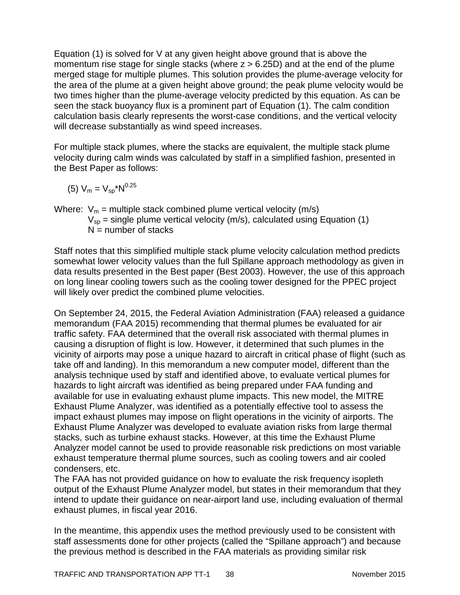Equation (1) is solved for V at any given height above ground that is above the momentum rise stage for single stacks (where  $z > 6.25D$ ) and at the end of the plume merged stage for multiple plumes. This solution provides the plume-average velocity for the area of the plume at a given height above ground; the peak plume velocity would be two times higher than the plume-average velocity predicted by this equation. As can be seen the stack buoyancy flux is a prominent part of Equation (1). The calm condition calculation basis clearly represents the worst-case conditions, and the vertical velocity will decrease substantially as wind speed increases.

For multiple stack plumes, where the stacks are equivalent, the multiple stack plume velocity during calm winds was calculated by staff in a simplified fashion, presented in the Best Paper as follows:

(5) 
$$
V_m = V_{sp} * N^{0.25}
$$

Where:  $V_m$  = multiple stack combined plume vertical velocity (m/s)

 $V_{sp}$  = single plume vertical velocity (m/s), calculated using Equation (1)  $N =$  number of stacks

Staff notes that this simplified multiple stack plume velocity calculation method predicts somewhat lower velocity values than the full Spillane approach methodology as given in data results presented in the Best paper (Best 2003). However, the use of this approach on long linear cooling towers such as the cooling tower designed for the PPEC project will likely over predict the combined plume velocities.

On September 24, 2015, the Federal Aviation Administration (FAA) released a guidance memorandum (FAA 2015) recommending that thermal plumes be evaluated for air traffic safety. FAA determined that the overall risk associated with thermal plumes in causing a disruption of flight is low. However, it determined that such plumes in the vicinity of airports may pose a unique hazard to aircraft in critical phase of flight (such as take off and landing). In this memorandum a new computer model, different than the analysis technique used by staff and identified above, to evaluate vertical plumes for hazards to light aircraft was identified as being prepared under FAA funding and available for use in evaluating exhaust plume impacts. This new model, the MITRE Exhaust Plume Analyzer, was identified as a potentially effective tool to assess the impact exhaust plumes may impose on flight operations in the vicinity of airports. The Exhaust Plume Analyzer was developed to evaluate aviation risks from large thermal stacks, such as turbine exhaust stacks. However, at this time the Exhaust Plume Analyzer model cannot be used to provide reasonable risk predictions on most variable exhaust temperature thermal plume sources, such as cooling towers and air cooled condensers, etc.

The FAA has not provided guidance on how to evaluate the risk frequency isopleth output of the Exhaust Plume Analyzer model, but states in their memorandum that they intend to update their guidance on near-airport land use, including evaluation of thermal exhaust plumes, in fiscal year 2016.

In the meantime, this appendix uses the method previously used to be consistent with staff assessments done for other projects (called the "Spillane approach") and because the previous method is described in the FAA materials as providing similar risk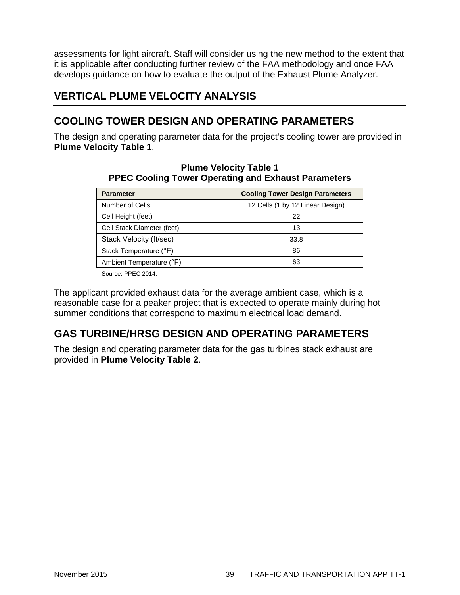assessments for light aircraft. Staff will consider using the new method to the extent that it is applicable after conducting further review of the FAA methodology and once FAA develops guidance on how to evaluate the output of the Exhaust Plume Analyzer.

# **VERTICAL PLUME VELOCITY ANALYSIS**

### **COOLING TOWER DESIGN AND OPERATING PARAMETERS**

The design and operating parameter data for the project's cooling tower are provided in **Plume Velocity Table 1**.

| <b>Parameter</b>           | <b>Cooling Tower Design Parameters</b> |
|----------------------------|----------------------------------------|
| Number of Cells            | 12 Cells (1 by 12 Linear Design)       |
| Cell Height (feet)         | 22                                     |
| Cell Stack Diameter (feet) | 13                                     |
| Stack Velocity (ft/sec)    | 33.8                                   |
| Stack Temperature (°F)     | 86                                     |
| Ambient Temperature (°F)   | 63                                     |

#### **Plume Velocity Table 1 PPEC Cooling Tower Operating and Exhaust Parameters**

Source: PPEC 2014.

The applicant provided exhaust data for the average ambient case, which is a reasonable case for a peaker project that is expected to operate mainly during hot summer conditions that correspond to maximum electrical load demand.

# **GAS TURBINE/HRSG DESIGN AND OPERATING PARAMETERS**

The design and operating parameter data for the gas turbines stack exhaust are provided in **Plume Velocity Table 2**.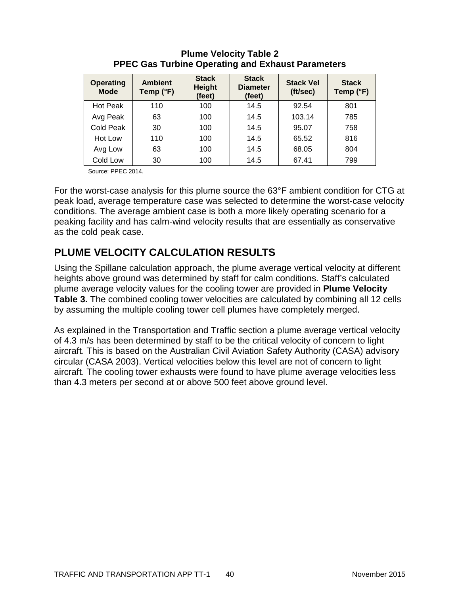| <b>Operating</b><br><b>Mode</b> | <b>Ambient</b><br>Temp (°F) | <b>Stack</b><br><b>Height</b><br>(feet) | <b>Stack</b><br><b>Diameter</b><br>(feet) | <b>Stack Vel</b><br>(ft/sec) | <b>Stack</b><br>Temp (°F) |
|---------------------------------|-----------------------------|-----------------------------------------|-------------------------------------------|------------------------------|---------------------------|
| <b>Hot Peak</b>                 | 110                         | 100                                     | 14.5                                      | 92.54                        | 801                       |
| Avg Peak                        | 63                          | 100                                     | 14.5                                      | 103.14                       | 785                       |
| Cold Peak                       | 30                          | 100                                     | 14.5                                      | 95.07                        | 758                       |
| Hot Low                         | 110                         | 100                                     | 14.5                                      | 65.52                        | 816                       |
| Avg Low                         | 63                          | 100                                     | 14.5                                      | 68.05                        | 804                       |
| Cold Low                        | 30                          | 100                                     | 14.5                                      | 67.41                        | 799                       |

### **Plume Velocity Table 2 PPEC Gas Turbine Operating and Exhaust Parameters**

Source: PPEC 2014.

For the worst-case analysis for this plume source the 63°F ambient condition for CTG at peak load, average temperature case was selected to determine the worst-case velocity conditions. The average ambient case is both a more likely operating scenario for a peaking facility and has calm-wind velocity results that are essentially as conservative as the cold peak case.

# **PLUME VELOCITY CALCULATION RESULTS**

Using the Spillane calculation approach, the plume average vertical velocity at different heights above ground was determined by staff for calm conditions. Staff's calculated plume average velocity values for the cooling tower are provided in **Plume Velocity Table 3.** The combined cooling tower velocities are calculated by combining all 12 cells by assuming the multiple cooling tower cell plumes have completely merged.

As explained in the Transportation and Traffic section a plume average vertical velocity of 4.3 m/s has been determined by staff to be the critical velocity of concern to light aircraft. This is based on the Australian Civil Aviation Safety Authority (CASA) advisory circular (CASA 2003). Vertical velocities below this level are not of concern to light aircraft. The cooling tower exhausts were found to have plume average velocities less than 4.3 meters per second at or above 500 feet above ground level.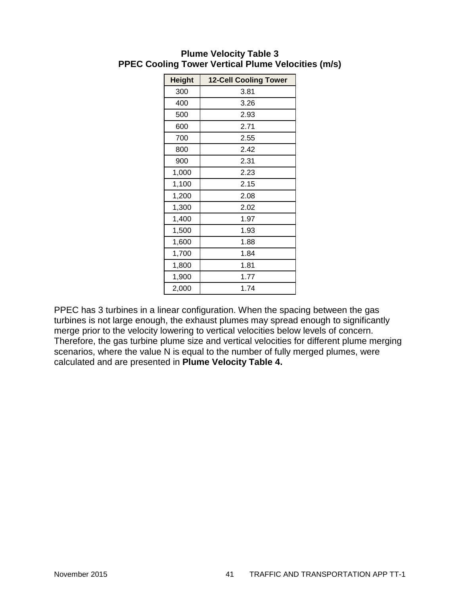| <b>Height</b> | <b>12-Cell Cooling Tower</b> |
|---------------|------------------------------|
| 300           | 3.81                         |
| 400           | 3.26                         |
| 500           | 2.93                         |
| 600           | 2.71                         |
| 700           | 2.55                         |
| 800           | 2.42                         |
| 900           | 2.31                         |
| 1,000         | 2.23                         |
| 1,100         | 2.15                         |
| 1,200         | 2.08                         |
| 1,300         | 2.02                         |
| 1,400         | 1.97                         |
| 1,500         | 1.93                         |
| 1,600         | 1.88                         |
| 1,700         | 1.84                         |
| 1,800         | 1.81                         |
| 1,900         | 1.77                         |
| 2,000         | 1.74                         |

#### **Plume Velocity Table 3 PPEC Cooling Tower Vertical Plume Velocities (m/s)**

PPEC has 3 turbines in a linear configuration. When the spacing between the gas turbines is not large enough, the exhaust plumes may spread enough to significantly merge prior to the velocity lowering to vertical velocities below levels of concern. Therefore, the gas turbine plume size and vertical velocities for different plume merging scenarios, where the value N is equal to the number of fully merged plumes, were calculated and are presented in **Plume Velocity Table 4.**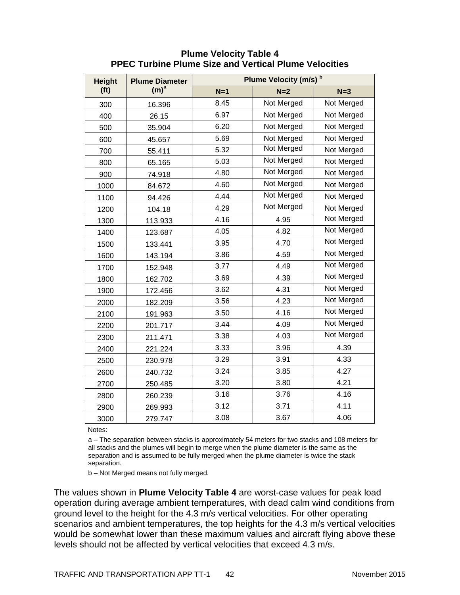| <b>Height</b>     | <b>Plume Diameter</b> | Plume Velocity (m/s) <sup>b</sup> |                   |                   |
|-------------------|-----------------------|-----------------------------------|-------------------|-------------------|
| (f <sub>t</sub> ) | (m) <sup>a</sup>      | $N=1$                             | $N=2$             | $N=3$             |
| 300               | 16.396                | 8.45                              | Not Merged        | Not Merged        |
| 400               | 26.15                 | 6.97                              | Not Merged        | Not Merged        |
| 500               | 35.904                | 6.20                              | Not Merged        | Not Merged        |
| 600               | 45.657                | 5.69                              | Not Merged        | Not Merged        |
| 700               | 55.411                | 5.32                              | Not Merged        | Not Merged        |
| 800               | 65.165                | 5.03                              | Not Merged        | Not Merged        |
| 900               | 74.918                | 4.80                              | <b>Not Merged</b> | Not Merged        |
| 1000              | 84.672                | 4.60                              | <b>Not Merged</b> | Not Merged        |
| 1100              | 94.426                | 4.44                              | Not Merged        | Not Merged        |
| 1200              | 104.18                | 4.29                              | Not Merged        | Not Merged        |
| 1300              | 113.933               | 4.16                              | 4.95              | Not Merged        |
| 1400              | 123.687               | 4.05                              | 4.82              | Not Merged        |
| 1500              | 133.441               | 3.95                              | 4.70              | <b>Not Merged</b> |
| 1600              | 143.194               | 3.86                              | 4.59              | <b>Not Merged</b> |
| 1700              | 152.948               | 3.77                              | 4.49              | Not Merged        |
| 1800              | 162.702               | 3.69                              | 4.39              | <b>Not Merged</b> |
| 1900              | 172.456               | 3.62                              | 4.31              | Not Merged        |
| 2000              | 182.209               | 3.56                              | 4.23              | Not Merged        |
| 2100              | 191.963               | 3.50                              | 4.16              | Not Merged        |
| 2200              | 201.717               | 3.44                              | 4.09              | <b>Not Merged</b> |
| 2300              | 211.471               | 3.38                              | 4.03              | Not Merged        |
| 2400              | 221.224               | 3.33                              | 3.96              | 4.39              |
| 2500              | 230.978               | 3.29                              | 3.91              | 4.33              |
| 2600              | 240.732               | 3.24                              | 3.85              | 4.27              |
| 2700              | 250.485               | 3.20                              | 3.80              | 4.21              |
| 2800              | 260.239               | 3.16                              | 3.76              | 4.16              |
| 2900              | 269.993               | 3.12                              | 3.71              | 4.11              |
| 3000              | 279.747               | 3.08                              | 3.67              | 4.06              |

### **Plume Velocity Table 4 PPEC Turbine Plume Size and Vertical Plume Velocities**

Notes:

a – The separation between stacks is approximately 54 meters for two stacks and 108 meters for all stacks and the plumes will begin to merge when the plume diameter is the same as the separation and is assumed to be fully merged when the plume diameter is twice the stack separation.

b – Not Merged means not fully merged.

The values shown in **Plume Velocity Table 4** are worst-case values for peak load operation during average ambient temperatures, with dead calm wind conditions from ground level to the height for the 4.3 m/s vertical velocities. For other operating scenarios and ambient temperatures, the top heights for the 4.3 m/s vertical velocities would be somewhat lower than these maximum values and aircraft flying above these levels should not be affected by vertical velocities that exceed 4.3 m/s.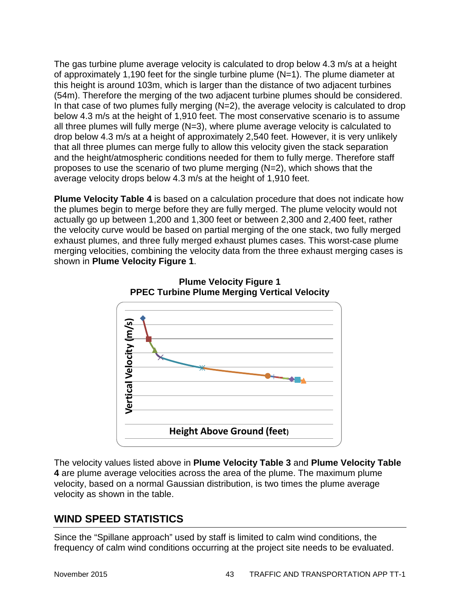The gas turbine plume average velocity is calculated to drop below 4.3 m/s at a height of approximately 1,190 feet for the single turbine plume (N=1). The plume diameter at this height is around 103m, which is larger than the distance of two adjacent turbines (54m). Therefore the merging of the two adjacent turbine plumes should be considered. In that case of two plumes fully merging  $(N=2)$ , the average velocity is calculated to drop below 4.3 m/s at the height of 1,910 feet. The most conservative scenario is to assume all three plumes will fully merge  $(N=3)$ , where plume average velocity is calculated to drop below 4.3 m/s at a height of approximately 2,540 feet. However, it is very unlikely that all three plumes can merge fully to allow this velocity given the stack separation and the height/atmospheric conditions needed for them to fully merge. Therefore staff proposes to use the scenario of two plume merging (N=2), which shows that the average velocity drops below 4.3 m/s at the height of 1,910 feet.

**Plume Velocity Table 4** is based on a calculation procedure that does not indicate how the plumes begin to merge before they are fully merged. The plume velocity would not actually go up between 1,200 and 1,300 feet or between 2,300 and 2,400 feet, rather the velocity curve would be based on partial merging of the one stack, two fully merged exhaust plumes, and three fully merged exhaust plumes cases. This worst-case plume merging velocities, combining the velocity data from the three exhaust merging cases is shown in **Plume Velocity Figure 1**.



**Plume Velocity Figure 1 PPEC Turbine Plume Merging Vertical Velocity**

The velocity values listed above in **Plume Velocity Table 3** and **Plume Velocity Table 4** are plume average velocities across the area of the plume. The maximum plume velocity, based on a normal Gaussian distribution, is two times the plume average velocity as shown in the table.

### **WIND SPEED STATISTICS**

Since the "Spillane approach" used by staff is limited to calm wind conditions, the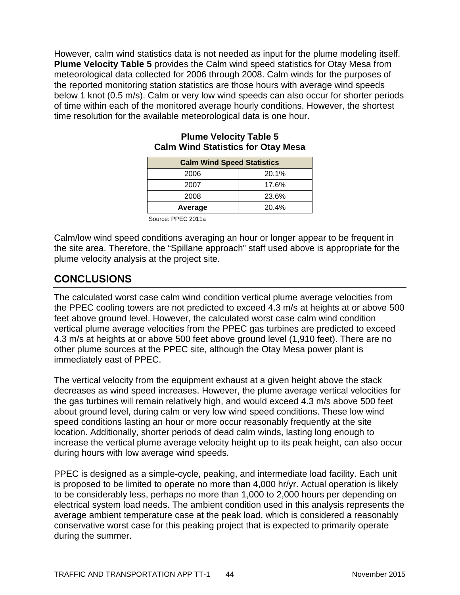However, calm wind statistics data is not needed as input for the plume modeling itself. **Plume Velocity Table 5** provides the Calm wind speed statistics for Otay Mesa from meteorological data collected for 2006 through 2008. Calm winds for the purposes of the reported monitoring station statistics are those hours with average wind speeds below 1 knot (0.5 m/s). Calm or very low wind speeds can also occur for shorter periods of time within each of the monitored average hourly conditions. However, the shortest time resolution for the available meteorological data is one hour.

| <b>Calm Wind Speed Statistics</b> |       |
|-----------------------------------|-------|
| 2006                              | 20.1% |
| 2007                              | 17.6% |
| 2008                              | 23.6% |
| Average                           | 20.4% |

#### **Plume Velocity Table 5 Calm Wind Statistics for Otay Mesa**

Source: PPEC 2011a

Calm/low wind speed conditions averaging an hour or longer appear to be frequent in the site area. Therefore, the "Spillane approach" staff used above is appropriate for the plume velocity analysis at the project site.

### **CONCLUSIONS**

The calculated worst case calm wind condition vertical plume average velocities from the PPEC cooling towers are not predicted to exceed 4.3 m/s at heights at or above 500 feet above ground level. However, the calculated worst case calm wind condition vertical plume average velocities from the PPEC gas turbines are predicted to exceed 4.3 m/s at heights at or above 500 feet above ground level (1,910 feet). There are no other plume sources at the PPEC site, although the Otay Mesa power plant is immediately east of PPEC.

The vertical velocity from the equipment exhaust at a given height above the stack decreases as wind speed increases. However, the plume average vertical velocities for the gas turbines will remain relatively high, and would exceed 4.3 m/s above 500 feet about ground level, during calm or very low wind speed conditions. These low wind speed conditions lasting an hour or more occur reasonably frequently at the site location. Additionally, shorter periods of dead calm winds, lasting long enough to increase the vertical plume average velocity height up to its peak height, can also occur during hours with low average wind speeds.

PPEC is designed as a simple-cycle, peaking, and intermediate load facility. Each unit is proposed to be limited to operate no more than 4,000 hr/yr. Actual operation is likely to be considerably less, perhaps no more than 1,000 to 2,000 hours per depending on electrical system load needs. The ambient condition used in this analysis represents the average ambient temperature case at the peak load, which is considered a reasonably conservative worst case for this peaking project that is expected to primarily operate during the summer.